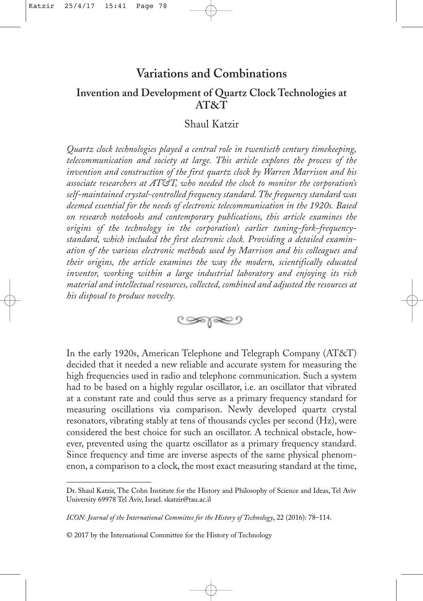# **Variations and Combinations**

## **Invention and Development of Quartz Clock Technologies at AT&T**

## Shaul Katzir

*Quartz clock technologies played a central role in twentieth century timekeeping, telecommunication and society at large. This article explores the process of the invention and construction of the first quartz clock by Warren Marrison and his associate researchers at AT&T, who needed the clock to monitor the corporation's self-maintained crystal-controlled frequency standard. The frequency standard was deemed essential for the needs of electronic telecommunication in the 1920s. Based on research notebooks and contemporary publications, this article examines the origins of the technology in the corporation's earlier tuning-fork-frequencystandard, which included the first electronic clock. Providing a detailed examination of the various electronic methods used by Marrison and his colleagues and their origins, the article examines the way the modern, scientifically educated inventor, working within a large industrial laboratory and enjoying its rich material and intellectual resources, collected, combined and adjusted the resources at his disposal to produce novelty.*



In the early 1920s, American Telephone and Telegraph Company (AT&T) decided that it needed a new reliable and accurate system for measuring the high frequencies used in radio and telephone communication. Such a system had to be based on a highly regular oscillator, i.e. an oscillator that vibrated at a constant rate and could thus serve as a primary frequency standard for measuring oscillations via comparison. Newly developed quartz crystal resonators, vibrating stably at tens of thousands cycles per second (Hz), were considered the best choice for such an oscillator. A technical obstacle, however, prevented using the quartz oscillator as a primary frequency standard. Since frequency and time are inverse aspects of the same physical phenomenon, a comparison to a clock, the most exact measuring standard at the time,

Dr. Shaul Katzir, The Cohn Institute for the History and Philosophy of Science and Ideas, Tel Aviv University 69978 Tel Aviv, Israel. skatzir@tau.ac.il

*ICON: Journal of the International Committee for the History of Technology*, 22 (2016): 78–114.

<sup>© 2017</sup> by the International Committee for the History of Technology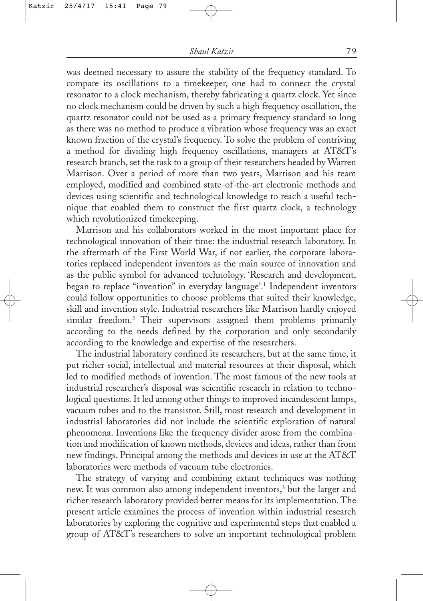was deemed necessary to assure the stability of the frequency standard. To compare its oscillations to a timekeeper, one had to connect the crystal resonator to a clock mechanism, thereby fabricating a quartz clock. Yet since no clock mechanism could be driven by such a high frequency oscillation, the quartz resonator could not be used as a primary frequency standard so long as there was no method to produce a vibration whose frequency was an exact known fraction of the crystal's frequency. To solve the problem of contriving a method for dividing high frequency oscillations, managers at AT&T's research branch, set the task to a group of their researchers headed by Warren Marrison. Over a period of more than two years, Marrison and his team employed, modified and combined state-of-the-art electronic methods and devices using scientific and technological knowledge to reach a useful technique that enabled them to construct the first quartz clock, a technology which revolutionized timekeeping.

Marrison and his collaborators worked in the most important place for technological innovation of their time: the industrial research laboratory. In the aftermath of the First World War, if not earlier, the corporate laboratories replaced independent inventors as the main source of innovation and as the public symbol for advanced technology. 'Research and development, began to replace "invention" in everyday language'.1 Independent inventors could follow opportunities to choose problems that suited their knowledge, skill and invention style. Industrial researchers like Marrison hardly enjoyed similar freedom.2 Their supervisors assigned them problems primarily according to the needs defined by the corporation and only secondarily according to the knowledge and expertise of the researchers.

The industrial laboratory confined its researchers, but at the same time, it put richer social, intellectual and material resources at their disposal, which led to modified methods of invention. The most famous of the new tools at industrial researcher's disposal was scientific research in relation to technological questions. It led among other things to improved incandescent lamps, vacuum tubes and to the transistor. Still, most research and development in industrial laboratories did not include the scientific exploration of natural phenomena. Inventions like the frequency divider arose from the combination and modification of known methods, devices and ideas, rather than from new findings. Principal among the methods and devices in use at the AT&T laboratories were methods of vacuum tube electronics.

The strategy of varying and combining extant techniques was nothing new. It was common also among independent inventors,<sup>3</sup> but the larger and richer research laboratory provided better means for its implementation. The present article examines the process of invention within industrial research laboratories by exploring the cognitive and experimental steps that enabled a group of AT&T's researchers to solve an important technological problem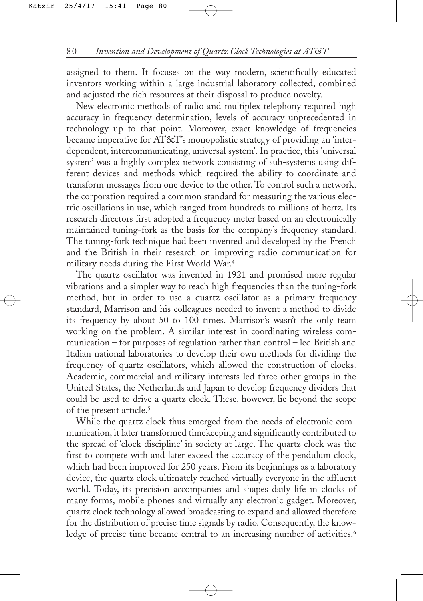assigned to them. It focuses on the way modern, scientifically educated inventors working within a large industrial laboratory collected, combined and adjusted the rich resources at their disposal to produce novelty.

New electronic methods of radio and multiplex telephony required high accuracy in frequency determination, levels of accuracy unprecedented in technology up to that point. Moreover, exact knowledge of frequencies became imperative for AT&T's monopolistic strategy of providing an 'interdependent, intercommunicating, universal system'. In practice, this 'universal system' was a highly complex network consisting of sub-systems using different devices and methods which required the ability to coordinate and transform messages from one device to the other. To control such a network, the corporation required a common standard for measuring the various electric oscillations in use, which ranged from hundreds to millions of hertz. Its research directors first adopted a frequency meter based on an electronically maintained tuning-fork as the basis for the company's frequency standard. The tuning-fork technique had been invented and developed by the French and the British in their research on improving radio communication for military needs during the First World War.4

The quartz oscillator was invented in 1921 and promised more regular vibrations and a simpler way to reach high frequencies than the tuning-fork method, but in order to use a quartz oscillator as a primary frequency standard, Marrison and his colleagues needed to invent a method to divide its frequency by about 50 to 100 times. Marrison's wasn't the only team working on the problem. A similar interest in coordinating wireless communication – for purposes of regulation rather than control – led British and Italian national laboratories to develop their own methods for dividing the frequency of quartz oscillators, which allowed the construction of clocks. Academic, commercial and military interests led three other groups in the United States, the Netherlands and Japan to develop frequency dividers that could be used to drive a quartz clock. These, however, lie beyond the scope of the present article.5

While the quartz clock thus emerged from the needs of electronic communication, it later transformed timekeeping and significantly contributed to the spread of 'clock discipline' in society at large. The quartz clock was the first to compete with and later exceed the accuracy of the pendulum clock, which had been improved for 250 years. From its beginnings as a laboratory device, the quartz clock ultimately reached virtually everyone in the affluent world. Today, its precision accompanies and shapes daily life in clocks of many forms, mobile phones and virtually any electronic gadget. Moreover, quartz clock technology allowed broadcasting to expand and allowed therefore for the distribution of precise time signals by radio. Consequently, the knowledge of precise time became central to an increasing number of activities.<sup>6</sup>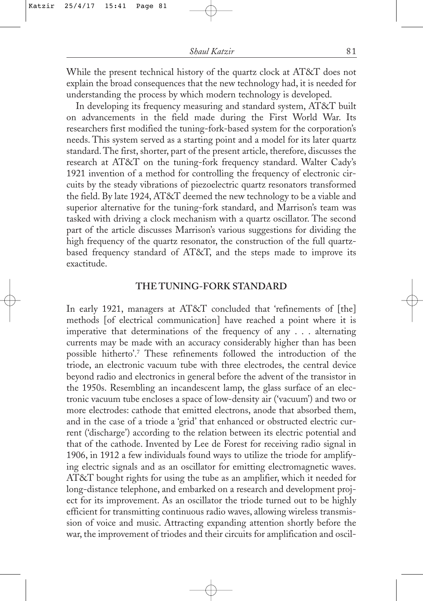While the present technical history of the quartz clock at AT&T does not explain the broad consequences that the new technology had, it is needed for understanding the process by which modern technology is developed.

In developing its frequency measuring and standard system, AT&T built on advancements in the field made during the First World War. Its researchers first modified the tuning-fork-based system for the corporation's needs. This system served as a starting point and a model for its later quartz standard. The first, shorter, part of the present article, therefore, discusses the research at AT&T on the tuning-fork frequency standard. Walter Cady's 1921 invention of a method for controlling the frequency of electronic circuits by the steady vibrations of piezoelectric quartz resonators transformed the field. By late 1924, AT&T deemed the new technology to be a viable and superior alternative for the tuning-fork standard, and Marrison's team was tasked with driving a clock mechanism with a quartz oscillator. The second part of the article discusses Marrison's various suggestions for dividing the high frequency of the quartz resonator, the construction of the full quartzbased frequency standard of AT&T, and the steps made to improve its exactitude.

### **THE TUNING-FORK STANDARD**

In early 1921, managers at AT&T concluded that 'refinements of [the] methods [of electrical communication] have reached a point where it is imperative that determinations of the frequency of any . . . alternating currents may be made with an accuracy considerably higher than has been possible hitherto'.7 These refinements followed the introduction of the triode, an electronic vacuum tube with three electrodes, the central device beyond radio and electronics in general before the advent of the transistor in the 1950s. Resembling an incandescent lamp, the glass surface of an electronic vacuum tube encloses a space of low-density air ('vacuum') and two or more electrodes: cathode that emitted electrons, anode that absorbed them, and in the case of a triode a 'grid' that enhanced or obstructed electric current ('discharge') according to the relation between its electric potential and that of the cathode. Invented by Lee de Forest for receiving radio signal in 1906, in 1912 a few individuals found ways to utilize the triode for amplifying electric signals and as an oscillator for emitting electromagnetic waves. AT&T bought rights for using the tube as an amplifier, which it needed for long-distance telephone, and embarked on a research and development project for its improvement. As an oscillator the triode turned out to be highly efficient for transmitting continuous radio waves, allowing wireless transmission of voice and music. Attracting expanding attention shortly before the war, the improvement of triodes and their circuits for amplification and oscil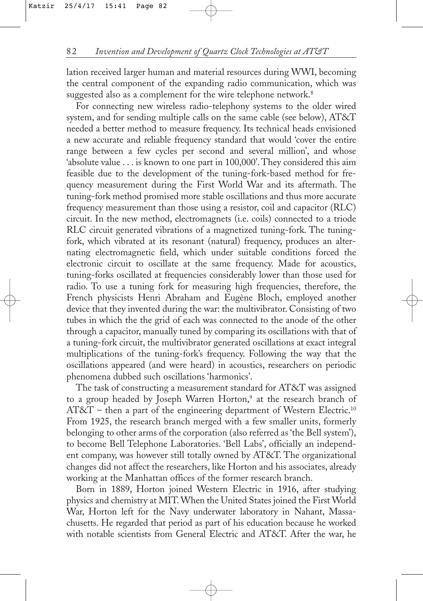lation received larger human and material resources during WWI, becoming the central component of the expanding radio communication, which was suggested also as a complement for the wire telephone network.<sup>8</sup>

For connecting new wireless radio-telephony systems to the older wired system, and for sending multiple calls on the same cable (see below), AT&T needed a better method to measure frequency. Its technical heads envisioned a new accurate and reliable frequency standard that would 'cover the entire range between a few cycles per second and several million', and whose 'absolute value . . . is known to one part in 100,000'. They considered this aim feasible due to the development of the tuning-fork-based method for frequency measurement during the First World War and its aftermath. The tuning-fork method promised more stable oscillations and thus more accurate frequency measurement than those using a resistor, coil and capacitor (RLC) circuit. In the new method, electromagnets (i.e. coils) connected to a triode RLC circuit generated vibrations of a magnetized tuning-fork. The tuningfork, which vibrated at its resonant (natural) frequency, produces an alternating electromagnetic field, which under suitable conditions forced the electronic circuit to oscillate at the same frequency. Made for acoustics, tuning-forks oscillated at frequencies considerably lower than those used for radio. To use a tuning fork for measuring high frequencies, therefore, the French physicists Henri Abraham and Eugène Bloch, employed another device that they invented during the war: the multivibrator. Consisting of two tubes in which the the grid of each was connected to the anode of the other through a capacitor, manually tuned by comparing its oscillations with that of a tuning-fork circuit, the multivibrator generated oscillations at exact integral multiplications of the tuning-fork's frequency. Following the way that the oscillations appeared (and were heard) in acoustics, researchers on periodic phenomena dubbed such oscillations 'harmonics'.

The task of constructing a measurement standard for AT&T was assigned to a group headed by Joseph Warren Horton,<sup>9</sup> at the research branch of  $AT&T$  – then a part of the engineering department of Western Electric.<sup>10</sup> From 1925, the research branch merged with a few smaller units, formerly belonging to other arms of the corporation (also referred as 'the Bell system'), to become Bell Telephone Laboratories. 'Bell Labs', officially an independent company, was however still totally owned by AT&T. The organizational changes did not affect the researchers, like Horton and his associates, already working at the Manhattan offices of the former research branch.

Born in 1889, Horton joined Western Electric in 1916, after studying physics and chemistry at MIT. When the United States joined the First World War, Horton left for the Navy underwater laboratory in Nahant, Massachusetts. He regarded that period as part of his education because he worked with notable scientists from General Electric and AT&T. After the war, he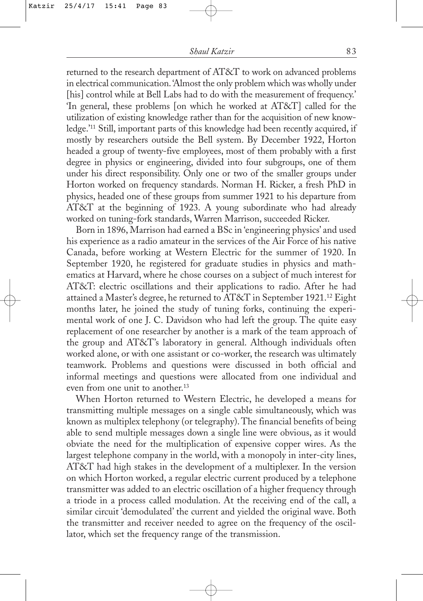returned to the research department of AT&T to work on advanced problems in electrical communication. 'Almost the only problem which was wholly under [his] control while at Bell Labs had to do with the measurement of frequency.' 'In general, these problems [on which he worked at AT&T] called for the utilization of existing knowledge rather than for the acquisition of new knowledge.'11 Still, important parts of this knowledge had been recently acquired, if mostly by researchers outside the Bell system. By December 1922, Horton headed a group of twenty-five employees, most of them probably with a first degree in physics or engineering, divided into four subgroups, one of them under his direct responsibility. Only one or two of the smaller groups under Horton worked on frequency standards. Norman H. Ricker, a fresh PhD in physics, headed one of these groups from summer 1921 to his departure from AT&T at the beginning of 1923. A young subordinate who had already worked on tuning-fork standards, Warren Marrison, succeeded Ricker.

Born in 1896, Marrison had earned a BSc in 'engineering physics' and used his experience as a radio amateur in the services of the Air Force of his native Canada, before working at Western Electric for the summer of 1920. In September 1920, he registered for graduate studies in physics and mathematics at Harvard, where he chose courses on a subject of much interest for AT&T: electric oscillations and their applications to radio. After he had attained a Master's degree, he returned to AT&T in September 1921.12 Eight months later, he joined the study of tuning forks, continuing the experimental work of one J. C. Davidson who had left the group. The quite easy replacement of one researcher by another is a mark of the team approach of the group and AT&T's laboratory in general. Although individuals often worked alone, or with one assistant or co-worker, the research was ultimately teamwork. Problems and questions were discussed in both official and informal meetings and questions were allocated from one individual and even from one unit to another.<sup>13</sup>

When Horton returned to Western Electric, he developed a means for transmitting multiple messages on a single cable simultaneously, which was known as multiplex telephony (or telegraphy). The financial benefits of being able to send multiple messages down a single line were obvious, as it would obviate the need for the multiplication of expensive copper wires. As the largest telephone company in the world, with a monopoly in inter-city lines, AT&T had high stakes in the development of a multiplexer. In the version on which Horton worked, a regular electric current produced by a telephone transmitter was added to an electric oscillation of a higher frequency through a triode in a process called modulation. At the receiving end of the call, a similar circuit 'demodulated' the current and yielded the original wave. Both the transmitter and receiver needed to agree on the frequency of the oscillator, which set the frequency range of the transmission.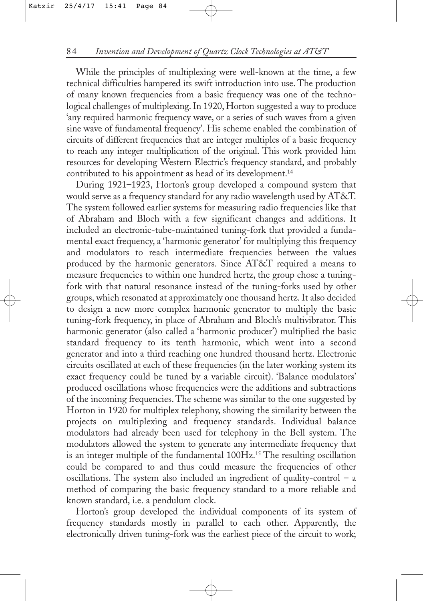While the principles of multiplexing were well-known at the time, a few technical difficulties hampered its swift introduction into use. The production of many known frequencies from a basic frequency was one of the technological challenges of multiplexing. In 1920, Horton suggested a way to produce 'any required harmonic frequency wave, or a series of such waves from a given sine wave of fundamental frequency'. His scheme enabled the combination of circuits of different frequencies that are integer multiples of a basic frequency to reach any integer multiplication of the original. This work provided him resources for developing Western Electric's frequency standard, and probably contributed to his appointment as head of its development.<sup>14</sup>

During 1921–1923, Horton's group developed a compound system that would serve as a frequency standard for any radio wavelength used by AT&T. The system followed earlier systems for measuring radio frequencies like that of Abraham and Bloch with a few significant changes and additions. It included an electronic-tube-maintained tuning-fork that provided a fundamental exact frequency, a 'harmonic generator' for multiplying this frequency and modulators to reach intermediate frequencies between the values produced by the harmonic generators. Since AT&T required a means to measure frequencies to within one hundred hertz, the group chose a tuningfork with that natural resonance instead of the tuning-forks used by other groups, which resonated at approximately one thousand hertz. It also decided to design a new more complex harmonic generator to multiply the basic tuning-fork frequency, in place of Abraham and Bloch's multivibrator. This harmonic generator (also called a 'harmonic producer') multiplied the basic standard frequency to its tenth harmonic, which went into a second generator and into a third reaching one hundred thousand hertz. Electronic circuits oscillated at each of these frequencies (in the later working system its exact frequency could be tuned by a variable circuit). 'Balance modulators' produced oscillations whose frequencies were the additions and subtractions of the incoming frequencies. The scheme was similar to the one suggested by Horton in 1920 for multiplex telephony, showing the similarity between the projects on multiplexing and frequency standards. Individual balance modulators had already been used for telephony in the Bell system. The modulators allowed the system to generate any intermediate frequency that is an integer multiple of the fundamental 100Hz.15 The resulting oscillation could be compared to and thus could measure the frequencies of other oscillations. The system also included an ingredient of quality-control  $-$  a method of comparing the basic frequency standard to a more reliable and known standard, i.e. a pendulum clock.

Horton's group developed the individual components of its system of frequency standards mostly in parallel to each other. Apparently, the electronically driven tuning-fork was the earliest piece of the circuit to work;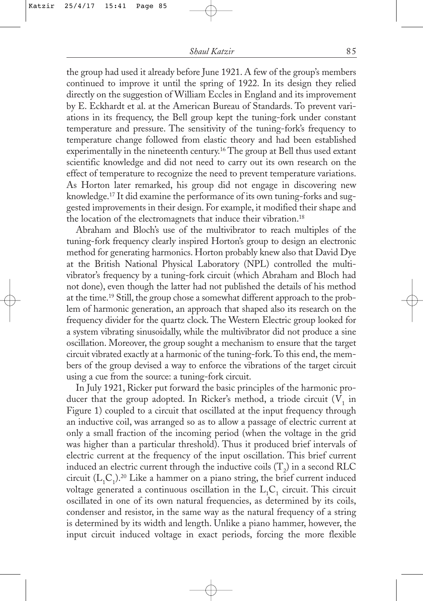the group had used it already before June 1921. A few of the group's members continued to improve it until the spring of 1922. In its design they relied directly on the suggestion of William Eccles in England and its improvement by E. Eckhardt et al. at the American Bureau of Standards. To prevent variations in its frequency, the Bell group kept the tuning-fork under constant temperature and pressure. The sensitivity of the tuning-fork's frequency to temperature change followed from elastic theory and had been established experimentally in the nineteenth century.16 The group at Bell thus used extant scientific knowledge and did not need to carry out its own research on the effect of temperature to recognize the need to prevent temperature variations. As Horton later remarked, his group did not engage in discovering new knowledge.17 It did examine the performance of its own tuning-forks and suggested improvements in their design. For example, it modified their shape and the location of the electromagnets that induce their vibration.<sup>18</sup>

Abraham and Bloch's use of the multivibrator to reach multiples of the tuning-fork frequency clearly inspired Horton's group to design an electronic method for generating harmonics. Horton probably knew also that David Dye at the British National Physical Laboratory (NPL) controlled the multivibrator's frequency by a tuning-fork circuit (which Abraham and Bloch had not done), even though the latter had not published the details of his method at the time.19 Still, the group chose a somewhat different approach to the problem of harmonic generation, an approach that shaped also its research on the frequency divider for the quartz clock. The Western Electric group looked for a system vibrating sinusoidally, while the multivibrator did not produce a sine oscillation. Moreover, the group sought a mechanism to ensure that the target circuit vibrated exactly at a harmonic of the tuning-fork.To this end, the members of the group devised a way to enforce the vibrations of the target circuit using a cue from the source: a tuning-fork circuit.

In July 1921, Ricker put forward the basic principles of the harmonic producer that the group adopted. In Ricker's method, a triode circuit  $(V_1$  in Figure 1) coupled to a circuit that oscillated at the input frequency through an inductive coil, was arranged so as to allow a passage of electric current at only a small fraction of the incoming period (when the voltage in the grid was higher than a particular threshold). Thus it produced brief intervals of electric current at the frequency of the input oscillation. This brief current induced an electric current through the inductive coils (T<sub>2</sub>) in a second RLC circuit  $(L_1C_1)^{20}$  Like a hammer on a piano string, the brief current induced voltage generated a continuous oscillation in the  $\mathrm{L_i}\mathrm{C}_1$  circuit. This circuit oscillated in one of its own natural frequencies, as determined by its coils, condenser and resistor, in the same way as the natural frequency of a string is determined by its width and length. Unlike a piano hammer, however, the input circuit induced voltage in exact periods, forcing the more flexible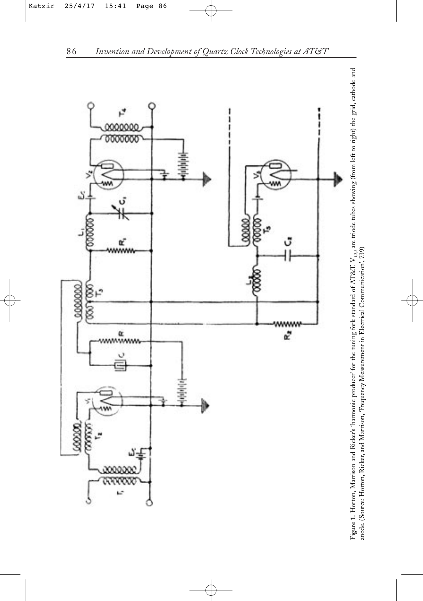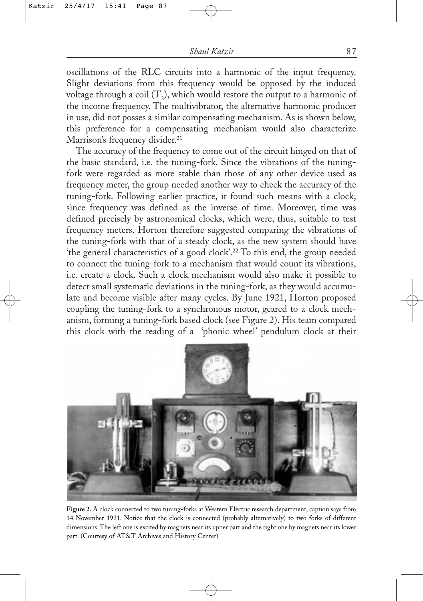oscillations of the RLC circuits into a harmonic of the input frequency. Slight deviations from this frequency would be opposed by the induced voltage through a coil  $(T_2)$ , which would restore the output to a harmonic of the income frequency. The multivibrator, the alternative harmonic producer in use, did not posses a similar compensating mechanism. As is shown below, this preference for a compensating mechanism would also characterize Marrison's frequency divider.<sup>21</sup>

The accuracy of the frequency to come out of the circuit hinged on that of the basic standard, i.e. the tuning-fork. Since the vibrations of the tuningfork were regarded as more stable than those of any other device used as frequency meter, the group needed another way to check the accuracy of the tuning-fork. Following earlier practice, it found such means with a clock, since frequency was defined as the inverse of time. Moreover, time was defined precisely by astronomical clocks, which were, thus, suitable to test frequency meters. Horton therefore suggested comparing the vibrations of the tuning-fork with that of a steady clock, as the new system should have 'the general characteristics of a good clock'.22 To this end, the group needed to connect the tuning-fork to a mechanism that would count its vibrations, i.e. create a clock. Such a clock mechanism would also make it possible to detect small systematic deviations in the tuning-fork, as they would accumulate and become visible after many cycles. By June 1921, Horton proposed coupling the tuning-fork to a synchronous motor, geared to a clock mechanism, forming a tuning-fork based clock (see Figure 2). His team compared this clock with the reading of a 'phonic wheel' pendulum clock at their



**Figure 2.** A clock connected to two tuning-forks at Western Electric research department, caption says from 14 November 1921. Notice that the clock is connected (probably alternatively) to two forks of different dimensions. The left one is excited by magnets near its upper part and the right one by magnets near its lower part. (Courtesy of AT&T Archives and History Center)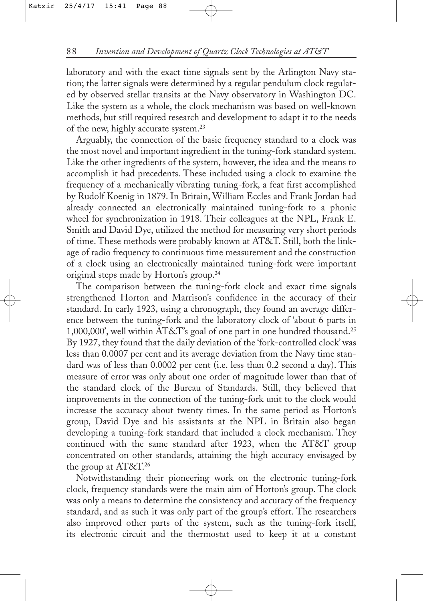laboratory and with the exact time signals sent by the Arlington Navy station; the latter signals were determined by a regular pendulum clock regulated by observed stellar transits at the Navy observatory in Washington DC. Like the system as a whole, the clock mechanism was based on well-known methods, but still required research and development to adapt it to the needs of the new, highly accurate system.<sup>23</sup>

Arguably, the connection of the basic frequency standard to a clock was the most novel and important ingredient in the tuning-fork standard system. Like the other ingredients of the system, however, the idea and the means to accomplish it had precedents. These included using a clock to examine the frequency of a mechanically vibrating tuning-fork, a feat first accomplished by Rudolf Koenig in 1879. In Britain, William Eccles and Frank Jordan had already connected an electronically maintained tuning-fork to a phonic wheel for synchronization in 1918. Their colleagues at the NPL, Frank E. Smith and David Dye, utilized the method for measuring very short periods of time. These methods were probably known at AT&T. Still, both the linkage of radio frequency to continuous time measurement and the construction of a clock using an electronically maintained tuning-fork were important original steps made by Horton's group.<sup>24</sup>

The comparison between the tuning-fork clock and exact time signals strengthened Horton and Marrison's confidence in the accuracy of their standard. In early 1923, using a chronograph, they found an average difference between the tuning-fork and the laboratory clock of 'about 6 parts in 1,000,000', well within AT&T's goal of one part in one hundred thousand.25 By 1927, they found that the daily deviation of the 'fork-controlled clock' was less than 0.0007 per cent and its average deviation from the Navy time standard was of less than 0.0002 per cent (i.e. less than 0.2 second a day). This measure of error was only about one order of magnitude lower than that of the standard clock of the Bureau of Standards. Still, they believed that improvements in the connection of the tuning-fork unit to the clock would increase the accuracy about twenty times. In the same period as Horton's group, David Dye and his assistants at the NPL in Britain also began developing a tuning-fork standard that included a clock mechanism. They continued with the same standard after 1923, when the AT&T group concentrated on other standards, attaining the high accuracy envisaged by the group at AT&T.26

Notwithstanding their pioneering work on the electronic tuning-fork clock, frequency standards were the main aim of Horton's group. The clock was only a means to determine the consistency and accuracy of the frequency standard, and as such it was only part of the group's effort. The researchers also improved other parts of the system, such as the tuning-fork itself, its electronic circuit and the thermostat used to keep it at a constant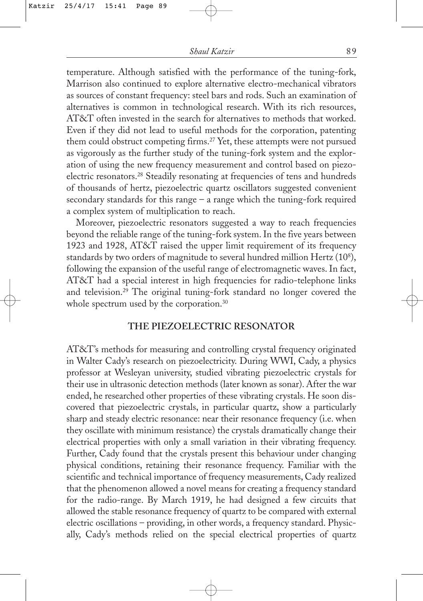temperature. Although satisfied with the performance of the tuning-fork, Marrison also continued to explore alternative electro-mechanical vibrators as sources of constant frequency: steel bars and rods. Such an examination of alternatives is common in technological research. With its rich resources, AT&T often invested in the search for alternatives to methods that worked. Even if they did not lead to useful methods for the corporation, patenting them could obstruct competing firms.<sup>27</sup> Yet, these attempts were not pursued as vigorously as the further study of the tuning-fork system and the exploration of using the new frequency measurement and control based on piezoelectric resonators.28 Steadily resonating at frequencies of tens and hundreds of thousands of hertz, piezoelectric quartz oscillators suggested convenient secondary standards for this range – a range which the tuning-fork required a complex system of multiplication to reach.

Moreover, piezoelectric resonators suggested a way to reach frequencies beyond the reliable range of the tuning-fork system. In the five years between 1923 and 1928, AT&T raised the upper limit requirement of its frequency standards by two orders of magnitude to several hundred million Hertz (10<sup>8</sup>), following the expansion of the useful range of electromagnetic waves. In fact, AT&T had a special interest in high frequencies for radio-telephone links and television.29 The original tuning-fork standard no longer covered the whole spectrum used by the corporation.<sup>30</sup>

### **THE PIEZOELECTRIC RESONATOR**

AT&T's methods for measuring and controlling crystal frequency originated in Walter Cady's research on piezoelectricity. During WWI, Cady, a physics professor at Wesleyan university, studied vibrating piezoelectric crystals for their use in ultrasonic detection methods (later known as sonar). After the war ended, he researched other properties of these vibrating crystals. He soon discovered that piezoelectric crystals, in particular quartz, show a particularly sharp and steady electric resonance: near their resonance frequency (i.e. when they oscillate with minimum resistance) the crystals dramatically change their electrical properties with only a small variation in their vibrating frequency. Further, Cady found that the crystals present this behaviour under changing physical conditions, retaining their resonance frequency. Familiar with the scientific and technical importance of frequency measurements, Cady realized that the phenomenon allowed a novel means for creating a frequency standard for the radio-range. By March 1919, he had designed a few circuits that allowed the stable resonance frequency of quartz to be compared with external electric oscillations – providing, in other words, a frequency standard. Physically, Cady's methods relied on the special electrical properties of quartz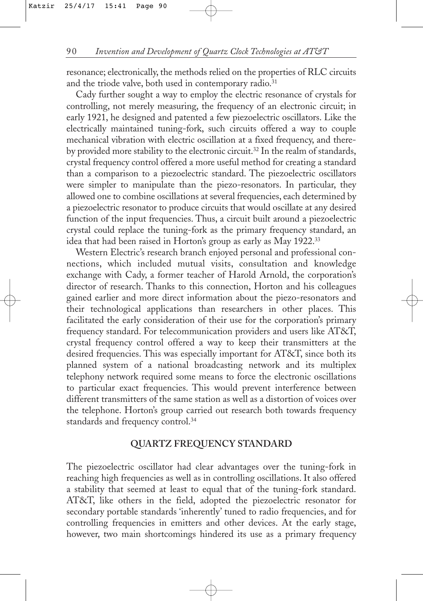resonance; electronically, the methods relied on the properties of RLC circuits and the triode valve, both used in contemporary radio.<sup>31</sup>

Cady further sought a way to employ the electric resonance of crystals for controlling, not merely measuring, the frequency of an electronic circuit; in early 1921, he designed and patented a few piezoelectric oscillators. Like the electrically maintained tuning-fork, such circuits offered a way to couple mechanical vibration with electric oscillation at a fixed frequency, and thereby provided more stability to the electronic circuit.<sup>32</sup> In the realm of standards, crystal frequency control offered a more useful method for creating a standard than a comparison to a piezoelectric standard. The piezoelectric oscillators were simpler to manipulate than the piezo-resonators. In particular, they allowed one to combine oscillations at several frequencies, each determined by a piezoelectric resonator to produce circuits that would oscillate at any desired function of the input frequencies. Thus, a circuit built around a piezoelectric crystal could replace the tuning-fork as the primary frequency standard, an idea that had been raised in Horton's group as early as May 1922.33

Western Electric's research branch enjoyed personal and professional connections, which included mutual visits, consultation and knowledge exchange with Cady, a former teacher of Harold Arnold, the corporation's director of research. Thanks to this connection, Horton and his colleagues gained earlier and more direct information about the piezo-resonators and their technological applications than researchers in other places. This facilitated the early consideration of their use for the corporation's primary frequency standard. For telecommunication providers and users like AT&T, crystal frequency control offered a way to keep their transmitters at the desired frequencies. This was especially important for AT&T, since both its planned system of a national broadcasting network and its multiplex telephony network required some means to force the electronic oscillations to particular exact frequencies. This would prevent interference between different transmitters of the same station as well as a distortion of voices over the telephone. Horton's group carried out research both towards frequency standards and frequency control.34

### **QUARTZ FREQUENCY STANDARD**

The piezoelectric oscillator had clear advantages over the tuning-fork in reaching high frequencies as well as in controlling oscillations. It also offered a stability that seemed at least to equal that of the tuning-fork standard. AT&T, like others in the field, adopted the piezoelectric resonator for secondary portable standards 'inherently' tuned to radio frequencies, and for controlling frequencies in emitters and other devices. At the early stage, however, two main shortcomings hindered its use as a primary frequency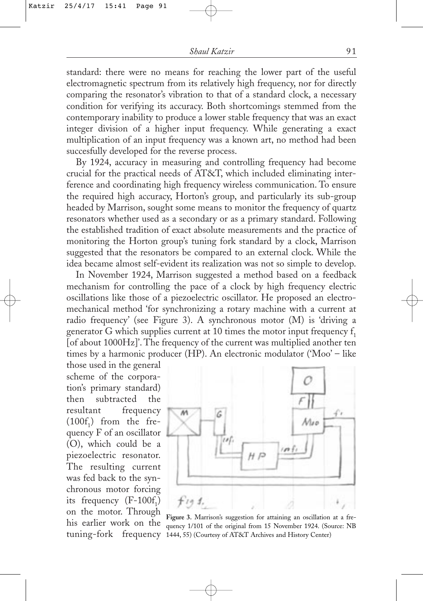standard: there were no means for reaching the lower part of the useful electromagnetic spectrum from its relatively high frequency, nor for directly comparing the resonator's vibration to that of a standard clock, a necessary condition for verifying its accuracy. Both shortcomings stemmed from the contemporary inability to produce a lower stable frequency that was an exact integer division of a higher input frequency. While generating a exact multiplication of an input frequency was a known art, no method had been succesfully developed for the reverse process.

By 1924, accuracy in measuring and controlling frequency had become crucial for the practical needs of AT&T, which included eliminating interference and coordinating high frequency wireless communication. To ensure the required high accuracy, Horton's group, and particularly its sub-group headed by Marrison, sought some means to monitor the frequency of quartz resonators whether used as a secondary or as a primary standard. Following the established tradition of exact absolute measurements and the practice of monitoring the Horton group's tuning fork standard by a clock, Marrison suggested that the resonators be compared to an external clock. While the idea became almost self-evident its realization was not so simple to develop.

In November 1924, Marrison suggested a method based on a feedback mechanism for controlling the pace of a clock by high frequency electric oscillations like those of a piezoelectric oscillator. He proposed an electromechanical method 'for synchronizing a rotary machine with a current at radio frequency' (see Figure 3). A synchronous motor (M) is 'driving a generator G which supplies current at 10 times the motor input frequency  $f_1$ [of about 1000Hz]'. The frequency of the current was multiplied another ten times by a harmonic producer (HP). An electronic modulator ('Moo' – like

those used in the general scheme of the corporation's primary standard) then subtracted the resultant frequency  $(100f_1)$  from the frequency F of an oscillator (O), which could be a piezoelectric resonator. The resulting current was fed back to the synchronous motor forcing its frequency  $(F-100f_1)$ on the motor. Through his earlier work on the



tuning-fork frequency 1444, 55) (Courtesy of AT&T Archives and History Center) **Figure 3.** Marrison's suggestion for attaining an oscillation at a frequency 1/101 of the original from 15 November 1924. (Source: NB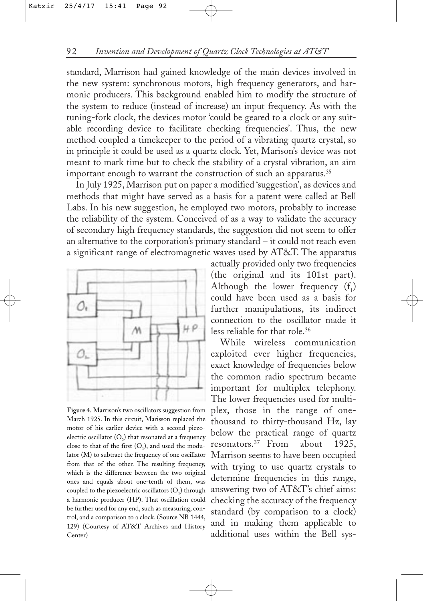standard, Marrison had gained knowledge of the main devices involved in the new system: synchronous motors, high frequency generators, and harmonic producers. This background enabled him to modify the structure of the system to reduce (instead of increase) an input frequency. As with the tuning-fork clock, the devices motor 'could be geared to a clock or any suitable recording device to facilitate checking frequencies'. Thus, the new method coupled a timekeeper to the period of a vibrating quartz crystal, so in principle it could be used as a quartz clock. Yet, Marison's device was not meant to mark time but to check the stability of a crystal vibration, an aim important enough to warrant the construction of such an apparatus.<sup>35</sup>

In July 1925, Marrison put on paper a modified 'suggestion', as devices and methods that might have served as a basis for a patent were called at Bell Labs. In his new suggestion, he employed two motors, probably to increase the reliability of the system. Conceived of as a way to validate the accuracy of secondary high frequency standards, the suggestion did not seem to offer an alternative to the corporation's primary standard – it could not reach even a significant range of electromagnetic waves used by AT&T. The apparatus



**Figure 4.** Marrison's two oscillators suggestion from March 1925. In this circuit, Marisson replaced the motor of his earlier device with a second piezoelectric oscillator  $(O_2)$  that resonated at a frequency close to that of the first  $(O_1)$ , and used the modulator (M) to subtract the frequency of one oscillator from that of the other. The resulting frequency, which is the difference between the two original ones and equals about one-tenth of them, was coupled to the piezoelectric oscillators  $(O<sub>1</sub>)$  through a harmonic producer (HP). That oscillation could be further used for any end, such as measuring, control, and a comparison to a clock. (Source NB 1444, 129) (Courtesy of AT&T Archives and History Center)

actually provided only two frequencies (the original and its 101st part). Although the lower frequency  $(f_1)$ could have been used as a basis for further manipulations, its indirect connection to the oscillator made it less reliable for that role.36

While wireless communication exploited ever higher frequencies, exact knowledge of frequencies below the common radio spectrum became important for multiplex telephony. The lower frequencies used for multiplex, those in the range of onethousand to thirty-thousand Hz, lay below the practical range of quartz resonators.37 From about 1925, Marrison seems to have been occupied with trying to use quartz crystals to determine frequencies in this range, answering two of AT&T's chief aims: checking the accuracy of the frequency standard (by comparison to a clock) and in making them applicable to additional uses within the Bell sys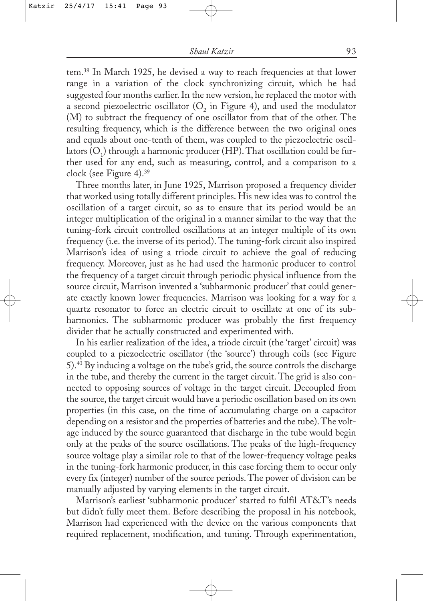tem.38 In March 1925, he devised a way to reach frequencies at that lower range in a variation of the clock synchronizing circuit, which he had suggested four months earlier. In the new version, he replaced the motor with a second piezoelectric oscillator  $(O_2$  in Figure 4), and used the modulator (M) to subtract the frequency of one oscillator from that of the other. The resulting frequency, which is the difference between the two original ones and equals about one-tenth of them, was coupled to the piezoelectric oscillators  $(O_1)$  through a harmonic producer (HP). That oscillation could be further used for any end, such as measuring, control, and a comparison to a clock (see Figure 4).39

Three months later, in June 1925, Marrison proposed a frequency divider that worked using totally different principles. His new idea was to control the oscillation of a target circuit, so as to ensure that its period would be an integer multiplication of the original in a manner similar to the way that the tuning-fork circuit controlled oscillations at an integer multiple of its own frequency (i.e. the inverse of its period). The tuning-fork circuit also inspired Marrison's idea of using a triode circuit to achieve the goal of reducing frequency. Moreover, just as he had used the harmonic producer to control the frequency of a target circuit through periodic physical influence from the source circuit, Marrison invented a 'subharmonic producer' that could generate exactly known lower frequencies. Marrison was looking for a way for a quartz resonator to force an electric circuit to oscillate at one of its subharmonics. The subharmonic producer was probably the first frequency divider that he actually constructed and experimented with.

In his earlier realization of the idea, a triode circuit (the 'target' circuit) was coupled to a piezoelectric oscillator (the 'source') through coils (see Figure 5).40 By inducing a voltage on the tube's grid, the source controls the discharge in the tube, and thereby the current in the target circuit. The grid is also connected to opposing sources of voltage in the target circuit. Decoupled from the source, the target circuit would have a periodic oscillation based on its own properties (in this case, on the time of accumulating charge on a capacitor depending on a resistor and the properties of batteries and the tube).The voltage induced by the source guaranteed that discharge in the tube would begin only at the peaks of the source oscillations. The peaks of the high-frequency source voltage play a similar role to that of the lower-frequency voltage peaks in the tuning-fork harmonic producer, in this case forcing them to occur only every fix (integer) number of the source periods. The power of division can be manually adjusted by varying elements in the target circuit.

Marrison's earliest 'subharmonic producer' started to fulfil AT&T's needs but didn't fully meet them. Before describing the proposal in his notebook, Marrison had experienced with the device on the various components that required replacement, modification, and tuning. Through experimentation,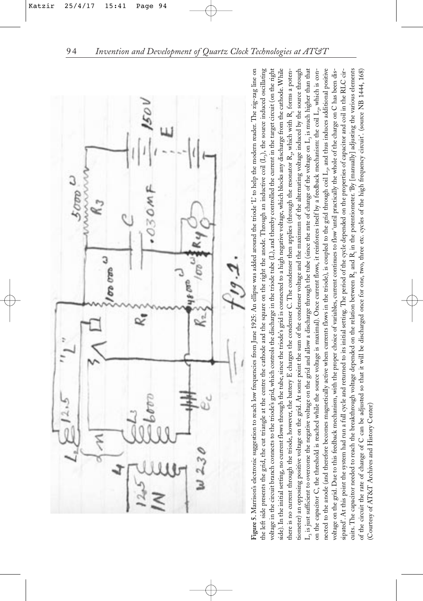

Figure 5. Marrison's electronic suggestion to reach low frequencies from June 1925: An ellipse was added around the triode 'L' to help the modern reader. The zig-zag line on nected to the anode (and therefore becomes magnetically active when currents flows in the triode), is coupled to the grid through coil  $L_2$ , and thus induces additional positive sipated'. At this point the system had run a full cycle and returned to its initial setting. The period of the cycle depended on the properties of capacitor and coil in the RLC circuits. The capacitor needed to reach the breakthrough voltage depended on the relation between R<sub>2</sub> and R<sub>1</sub> in the potentiometer. By [manually] adjusting the various elements Figure 5. Marrison's electronic suggestion to reach low frequencies from June 1925: An ellipse was added around the triode 'L' to help the modern reader. The zig-zag line on<br>the left side presents the grid, the cut triangl the left side presents the grid, the cut triangle at the centre the cathode and the square on the right the anode. Through an inductive coil (L<sub>e</sub>), the source induced oscillating voltage in the circuit branch connects to the triode's grid, which controls the discharge in the triode tube (L), and thereby controlled the current in the target circuit (on the right side). In the initial setting, no current flows through the tube, since the triode's grid is connected to a high negative voltage, which blocks any discharge from the cathode. While there is no current through the triode, however, the battery E charges the condenser C. The condenser then applies (through the resonator R., which with R. forms a potentiometer) an opposing positive voltage on the grid. At some point the sum of the condenser voltage and the maximum of the alternating voltage induced by the source through  $L_i$  is just sufficient to overcome the negative voltage on the grid and allow a discharge through the tube (since the rate of change of the voltage on  $L_i$  is much higher than that  $L_3$  is just sufficient to overcome the negative voltage on the grid and allow a discharge through the tube (since the rate of change of the voltage on  $L_3$  is much higher than that on the capacitor C, the threshold is reached while the source voltage is maximal). Once current flows, it reinforces itself by a feedback mechanism: the coil L,, which is convoltage on the grid. Due to this feedback mechanism, with the proper choice of variables, current continues to flow 'until practically the whole of the charge on C has been disof the circuit the rate of change of C can be adjusted so that it will be discharged once for one, two, three etc. cycles of the high frequency circuit'. (source NB 1444, 168) on the capacitor C, the threshold is reached while the source voltage is maximal). Once current flows, it reinforces itself by a feedback mechanism: the coil  $L_p$  which is connected to the anode (and therefore becomes magnetically active when currents flows in the triode), is coupled to the grid through coil L3, and thus induces additional positive voltage on the grid. Due to this feedback mechanism, with the proper choice of variables, current continues to flow 'until practically the whole of the charge on C has been dissipated'. At this point the system had run a full cycle and returned to its initial setting. The period of the cycle depended on the properties of capacitor and coil in the RLC circuits. The capacitor needed to reach the breakthrough voltage depended on the relation between R2 and R1 in the potentiometer. 'By [manually] adjusting the various elements of the circuit the rate of change of C can be adjusted so that it will be discharged once for one, two, three etc. cycles of the high frequency circuit'. (source NB 1444, 168) (Courtesy of AT&T Archives and History Center) (Courtesy of AT&T Archives and History Center)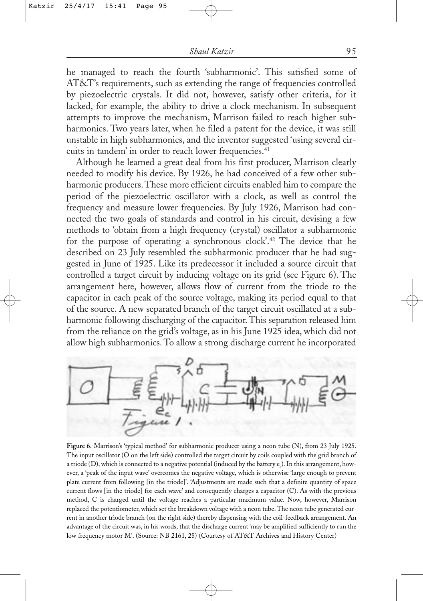he managed to reach the fourth 'subharmonic'. This satisfied some of AT&T's requirements, such as extending the range of frequencies controlled by piezoelectric crystals. It did not, however, satisfy other criteria, for it lacked, for example, the ability to drive a clock mechanism. In subsequent attempts to improve the mechanism, Marrison failed to reach higher subharmonics. Two years later, when he filed a patent for the device, it was still unstable in high subharmonics, and the inventor suggested 'using several circuits in tandem' in order to reach lower frequencies.<sup>41</sup>

Although he learned a great deal from his first producer, Marrison clearly needed to modify his device. By 1926, he had conceived of a few other subharmonic producers.These more efficient circuits enabled him to compare the period of the piezoelectric oscillator with a clock, as well as control the frequency and measure lower frequencies. By July 1926, Marrison had connected the two goals of standards and control in his circuit, devising a few methods to 'obtain from a high frequency (crystal) oscillator a subharmonic for the purpose of operating a synchronous clock'.42 The device that he described on 23 July resembled the subharmonic producer that he had suggested in June of 1925. Like its predecessor it included a source circuit that controlled a target circuit by inducing voltage on its grid (see Figure 6). The arrangement here, however, allows flow of current from the triode to the capacitor in each peak of the source voltage, making its period equal to that of the source. A new separated branch of the target circuit oscillated at a subharmonic following discharging of the capacitor. This separation released him from the reliance on the grid's voltage, as in his June 1925 idea, which did not allow high subharmonics. To allow a strong discharge current he incorporated



**Figure 6.** Marrison's 'typical method' for subharmonic producer using a neon tube (N), from 23 July 1925. The input oscillator (O on the left side) controlled the target circuit by coils coupled with the grid branch of a triode (D), which is connected to a negative potential (induced by the battery e<sub>c</sub>). In this arrangement, however, a 'peak of the input wave' overcomes the negative voltage, which is otherwise 'large enough to prevent plate current from following [in the triode]'. 'Adjustments are made such that a definite quantity of space current flows [in the triode] for each wave' and consequently charges a capacitor (C). As with the previous method, C is charged until the voltage reaches a particular maximum value. Now, however, Marrison replaced the potentiometer, which set the breakdown voltage with a neon tube. The neon tube generated current in another triode branch (on the right side) thereby dispensing with the coil-feedback arrangement. An advantage of the circuit was, in his words, that the discharge current 'may be amplified sufficiently to run the low frequency motor M'. (Source: NB 2161, 28) (Courtesy of AT&T Archives and History Center)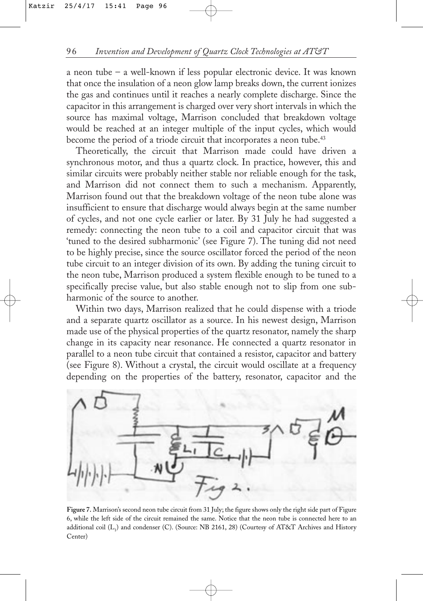a neon tube – a well-known if less popular electronic device. It was known that once the insulation of a neon glow lamp breaks down, the current ionizes the gas and continues until it reaches a nearly complete discharge. Since the capacitor in this arrangement is charged over very short intervals in which the source has maximal voltage, Marrison concluded that breakdown voltage would be reached at an integer multiple of the input cycles, which would become the period of a triode circuit that incorporates a neon tube.<sup>43</sup>

Theoretically, the circuit that Marrison made could have driven a synchronous motor, and thus a quartz clock. In practice, however, this and similar circuits were probably neither stable nor reliable enough for the task, and Marrison did not connect them to such a mechanism. Apparently, Marrison found out that the breakdown voltage of the neon tube alone was insufficient to ensure that discharge would always begin at the same number of cycles, and not one cycle earlier or later. By 31 July he had suggested a remedy: connecting the neon tube to a coil and capacitor circuit that was 'tuned to the desired subharmonic' (see Figure 7). The tuning did not need to be highly precise, since the source oscillator forced the period of the neon tube circuit to an integer division of its own. By adding the tuning circuit to the neon tube, Marrison produced a system flexible enough to be tuned to a specifically precise value, but also stable enough not to slip from one subharmonic of the source to another.

Within two days, Marrison realized that he could dispense with a triode and a separate quartz oscillator as a source. In his newest design, Marrison made use of the physical properties of the quartz resonator, namely the sharp change in its capacity near resonance. He connected a quartz resonator in parallel to a neon tube circuit that contained a resistor, capacitor and battery (see Figure 8). Without a crystal, the circuit would oscillate at a frequency depending on the properties of the battery, resonator, capacitor and the



**Figure 7.** Marrison's second neon tube circuit from 31 July; the figure shows only the right side part of Figure 6, while the left side of the circuit remained the same. Notice that the neon tube is connected here to an additional coil  $(L_1)$  and condenser (C). (Source: NB 2161, 28) (Courtesy of AT&T Archives and History Center)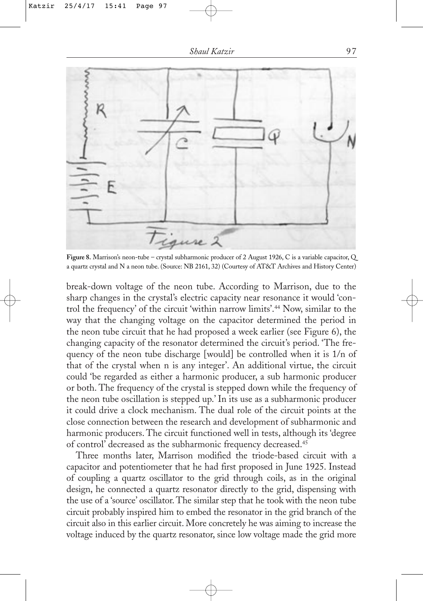

**Figure 8.** Marrison's neon-tube – crystal subharmonic producer of 2 August 1926, C is a variable capacitor, Q a quartz crystal and N a neon tube. (Source: NB 2161, 32) (Courtesy of AT&T Archives and History Center)

break-down voltage of the neon tube. According to Marrison, due to the sharp changes in the crystal's electric capacity near resonance it would 'control the frequency' of the circuit 'within narrow limits'.44 Now, similar to the way that the changing voltage on the capacitor determined the period in the neon tube circuit that he had proposed a week earlier (see Figure 6), the changing capacity of the resonator determined the circuit's period. 'The frequency of the neon tube discharge [would] be controlled when it is 1/n of that of the crystal when n is any integer'. An additional virtue, the circuit could 'be regarded as either a harmonic producer, a sub harmonic producer or both. The frequency of the crystal is stepped down while the frequency of the neon tube oscillation is stepped up.' In its use as a subharmonic producer it could drive a clock mechanism. The dual role of the circuit points at the close connection between the research and development of subharmonic and harmonic producers. The circuit functioned well in tests, although its 'degree of control' decreased as the subharmonic frequency decreased.45

Three months later, Marrison modified the triode-based circuit with a capacitor and potentiometer that he had first proposed in June 1925. Instead of coupling a quartz oscillator to the grid through coils, as in the original design, he connected a quartz resonator directly to the grid, dispensing with the use of a 'source' oscillator. The similar step that he took with the neon tube circuit probably inspired him to embed the resonator in the grid branch of the circuit also in this earlier circuit. More concretely he was aiming to increase the voltage induced by the quartz resonator, since low voltage made the grid more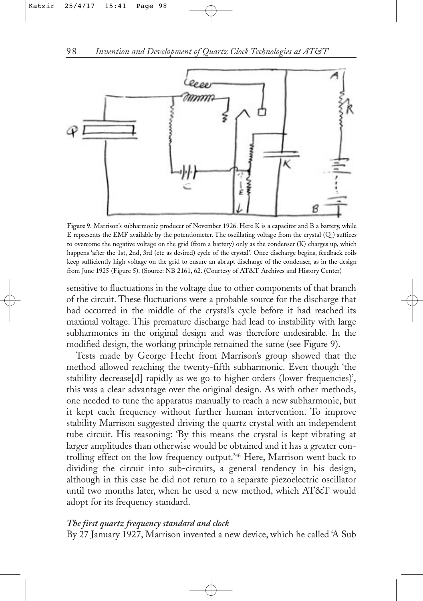

**Figure 9.** Marrison's subharmonic producer of November 1926. Here K is a capacitor and B a battery, while E represents the EMF available by the potentiometer. The oscillating voltage from the crystal (Q ) suffices to overcome the negative voltage on the grid (from a battery) only as the condenser (K) charges up, which happens 'after the 1st, 2nd, 3rd (etc as desired) cycle of the crystal'. Once discharge begins, feedback coils keep sufficiently high voltage on the grid to ensure an abrupt discharge of the condenser, as in the design from June 1925 (Figure 5). (Source: NB 2161, 62. (Courtesy of AT&T Archives and History Center)

sensitive to fluctuations in the voltage due to other components of that branch of the circuit. These fluctuations were a probable source for the discharge that had occurred in the middle of the crystal's cycle before it had reached its maximal voltage. This premature discharge had lead to instability with large subharmonics in the original design and was therefore undesirable. In the modified design, the working principle remained the same (see Figure 9).

Tests made by George Hecht from Marrison's group showed that the method allowed reaching the twenty-fifth subharmonic. Even though 'the stability decrease[d] rapidly as we go to higher orders (lower frequencies)', this was a clear advantage over the original design. As with other methods, one needed to tune the apparatus manually to reach a new subharmonic, but it kept each frequency without further human intervention. To improve stability Marrison suggested driving the quartz crystal with an independent tube circuit. His reasoning: 'By this means the crystal is kept vibrating at larger amplitudes than otherwise would be obtained and it has a greater controlling effect on the low frequency output.'46 Here, Marrison went back to dividing the circuit into sub-circuits, a general tendency in his design, although in this case he did not return to a separate piezoelectric oscillator until two months later, when he used a new method, which AT&T would adopt for its frequency standard.

## *The first quartz frequency standard and clock*

By 27 January 1927, Marrison invented a new device, which he called 'A Sub

98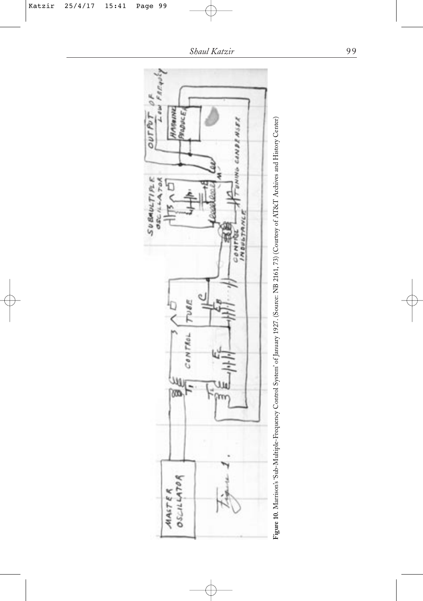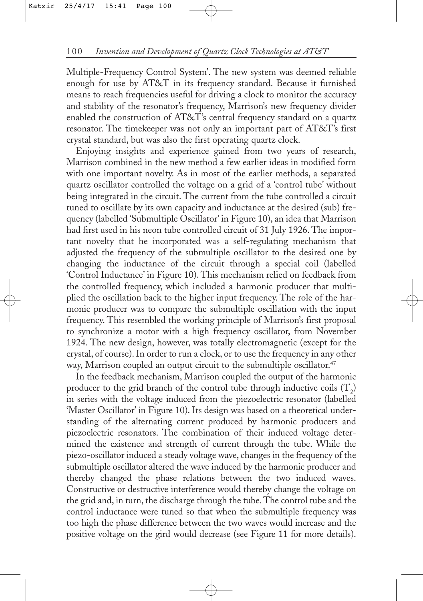Multiple-Frequency Control System'. The new system was deemed reliable enough for use by AT&T in its frequency standard. Because it furnished means to reach frequencies useful for driving a clock to monitor the accuracy and stability of the resonator's frequency, Marrison's new frequency divider enabled the construction of AT&T's central frequency standard on a quartz resonator. The timekeeper was not only an important part of AT&T's first crystal standard, but was also the first operating quartz clock.

Enjoying insights and experience gained from two years of research, Marrison combined in the new method a few earlier ideas in modified form with one important novelty. As in most of the earlier methods, a separated quartz oscillator controlled the voltage on a grid of a 'control tube' without being integrated in the circuit. The current from the tube controlled a circuit tuned to oscillate by its own capacity and inductance at the desired (sub) frequency (labelled 'Submultiple Oscillator' in Figure 10), an idea that Marrison had first used in his neon tube controlled circuit of 31 July 1926. The important novelty that he incorporated was a self-regulating mechanism that adjusted the frequency of the submultiple oscillator to the desired one by changing the inductance of the circuit through a special coil (labelled 'Control Inductance' in Figure 10). This mechanism relied on feedback from the controlled frequency, which included a harmonic producer that multiplied the oscillation back to the higher input frequency. The role of the harmonic producer was to compare the submultiple oscillation with the input frequency. This resembled the working principle of Marrison's first proposal to synchronize a motor with a high frequency oscillator, from November 1924. The new design, however, was totally electromagnetic (except for the crystal, of course). In order to run a clock, or to use the frequency in any other way, Marrison coupled an output circuit to the submultiple oscillator.<sup>47</sup>

In the feedback mechanism, Marrison coupled the output of the harmonic producer to the grid branch of the control tube through inductive coils  $(T_{2})$ in series with the voltage induced from the piezoelectric resonator (labelled 'Master Oscillator' in Figure 10). Its design was based on a theoretical understanding of the alternating current produced by harmonic producers and piezoelectric resonators. The combination of their induced voltage determined the existence and strength of current through the tube. While the piezo-oscillator induced a steady voltage wave, changes in the frequency of the submultiple oscillator altered the wave induced by the harmonic producer and thereby changed the phase relations between the two induced waves. Constructive or destructive interference would thereby change the voltage on the grid and, in turn, the discharge through the tube. The control tube and the control inductance were tuned so that when the submultiple frequency was too high the phase difference between the two waves would increase and the positive voltage on the gird would decrease (see Figure 11 for more details).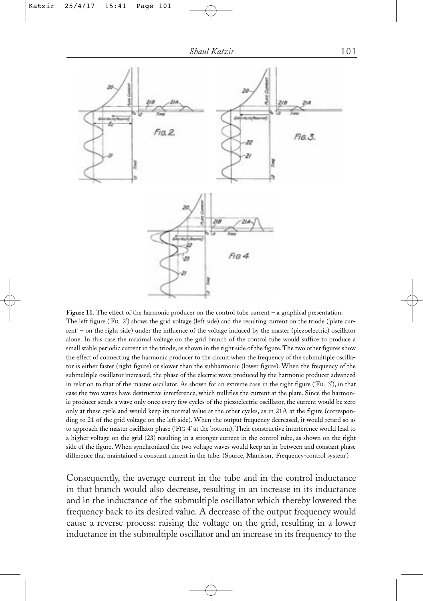

**Figure 11.** The effect of the harmonic producer on the control tube current – a graphical presentation: The left figure ('FIG 2') shows the grid voltage (left side) and the resulting current on the triode ('plate current' – on the right side) under the influence of the voltage induced by the master (piezoelectric) oscillator alone. In this case the maximal voltage on the grid branch of the control tube would suffice to produce a small stable periodic current in the triode, as shown in the right side of the figure. The two other figures show the effect of connecting the harmonic producer to the circuit when the frequency of the submultiple oscillator is either faster (right figure) or slower than the subharmonic (lower figure). When the frequency of the submultiple oscillator increased, the phase of the electric wave produced by the harmonic producer advanced in relation to that of the master oscillator. As shown for an extreme case in the right figure ('FIG 3'), in that case the two waves have destructive interference, which nullifies the current at the plate. Since the harmonic producer sends a wave only once every few cycles of the piezoelectric oscillator, the current would be zero only at these cycle and would keep its normal value at the other cycles, as in 21A at the figure (corresponding to 21 of the grid voltage on the left side). When the output frequency decreased, it would retard so as to approach the master oscillator phase ('FIG 4' at the bottom). Their constructive interference would lead to a higher voltage on the grid (23) resulting in a stronger current in the control tube, as shown on the right side of the figure. When synchronized the two voltage waves would keep an in-between and constant phase difference that maintained a constant current in the tube. (Source, Marrison, 'Frequency-control system')

Consequently, the average current in the tube and in the control inductance in that branch would also decrease, resulting in an increase in its inductance and in the inductance of the submultiple oscillator which thereby lowered the frequency back to its desired value. A decrease of the output frequency would cause a reverse process: raising the voltage on the grid, resulting in a lower inductance in the submultiple oscillator and an increase in its frequency to the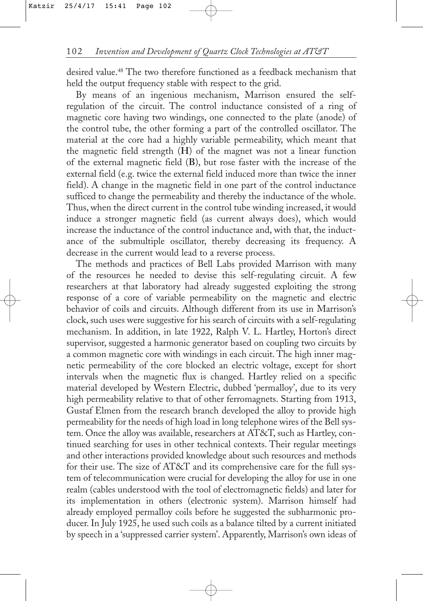desired value.48 The two therefore functioned as a feedback mechanism that held the output frequency stable with respect to the grid.

By means of an ingenious mechanism, Marrison ensured the selfregulation of the circuit. The control inductance consisted of a ring of magnetic core having two windings, one connected to the plate (anode) of the control tube, the other forming a part of the controlled oscillator. The material at the core had a highly variable permeability, which meant that the magnetic field strength (**H**) of the magnet was not a linear function of the external magnetic field (**B**), but rose faster with the increase of the external field (e.g. twice the external field induced more than twice the inner field). A change in the magnetic field in one part of the control inductance sufficed to change the permeability and thereby the inductance of the whole. Thus, when the direct current in the control tube winding increased, it would induce a stronger magnetic field (as current always does), which would increase the inductance of the control inductance and, with that, the inductance of the submultiple oscillator, thereby decreasing its frequency. A decrease in the current would lead to a reverse process.

The methods and practices of Bell Labs provided Marrison with many of the resources he needed to devise this self-regulating circuit. A few researchers at that laboratory had already suggested exploiting the strong response of a core of variable permeability on the magnetic and electric behavior of coils and circuits. Although different from its use in Marrison's clock, such uses were suggestive for his search of circuits with a self-regulating mechanism. In addition, in late 1922, Ralph V. L. Hartley, Horton's direct supervisor, suggested a harmonic generator based on coupling two circuits by a common magnetic core with windings in each circuit. The high inner magnetic permeability of the core blocked an electric voltage, except for short intervals when the magnetic flux is changed. Hartley relied on a specific material developed by Western Electric, dubbed 'permalloy', due to its very high permeability relative to that of other ferromagnets. Starting from 1913, Gustaf Elmen from the research branch developed the alloy to provide high permeability for the needs of high load in long telephone wires of the Bell system. Once the alloy was available, researchers at AT&T, such as Hartley, continued searching for uses in other technical contexts. Their regular meetings and other interactions provided knowledge about such resources and methods for their use. The size of AT&T and its comprehensive care for the full system of telecommunication were crucial for developing the alloy for use in one realm (cables understood with the tool of electromagnetic fields) and later for its implementation in others (electronic system). Marrison himself had already employed permalloy coils before he suggested the subharmonic producer. In July 1925, he used such coils as a balance tilted by a current initiated by speech in a 'suppressed carrier system'. Apparently, Marrison's own ideas of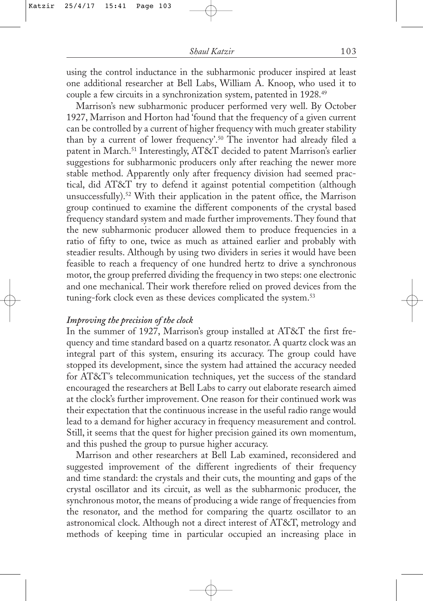using the control inductance in the subharmonic producer inspired at least one additional researcher at Bell Labs, William A. Knoop, who used it to couple a few circuits in a synchronization system, patented in 1928.49

Marrison's new subharmonic producer performed very well. By October 1927, Marrison and Horton had 'found that the frequency of a given current can be controlled by a current of higher frequency with much greater stability than by a current of lower frequency'.50 The inventor had already filed a patent in March.<sup>51</sup> Interestingly, AT&T decided to patent Marrison's earlier suggestions for subharmonic producers only after reaching the newer more stable method. Apparently only after frequency division had seemed practical, did AT&T try to defend it against potential competition (although unsuccessfully).<sup>52</sup> With their application in the patent office, the Marrison group continued to examine the different components of the crystal based frequency standard system and made further improvements. They found that the new subharmonic producer allowed them to produce frequencies in a ratio of fifty to one, twice as much as attained earlier and probably with steadier results. Although by using two dividers in series it would have been feasible to reach a frequency of one hundred hertz to drive a synchronous motor, the group preferred dividing the frequency in two steps: one electronic and one mechanical. Their work therefore relied on proved devices from the tuning-fork clock even as these devices complicated the system.<sup>53</sup>

### *Improving the precision of the clock*

In the summer of 1927, Marrison's group installed at AT&T the first frequency and time standard based on a quartz resonator. A quartz clock was an integral part of this system, ensuring its accuracy. The group could have stopped its development, since the system had attained the accuracy needed for AT&T's telecommunication techniques, yet the success of the standard encouraged the researchers at Bell Labs to carry out elaborate research aimed at the clock's further improvement. One reason for their continued work was their expectation that the continuous increase in the useful radio range would lead to a demand for higher accuracy in frequency measurement and control. Still, it seems that the quest for higher precision gained its own momentum, and this pushed the group to pursue higher accuracy.

Marrison and other researchers at Bell Lab examined, reconsidered and suggested improvement of the different ingredients of their frequency and time standard: the crystals and their cuts, the mounting and gaps of the crystal oscillator and its circuit, as well as the subharmonic producer, the synchronous motor, the means of producing a wide range of frequencies from the resonator, and the method for comparing the quartz oscillator to an astronomical clock. Although not a direct interest of AT&T, metrology and methods of keeping time in particular occupied an increasing place in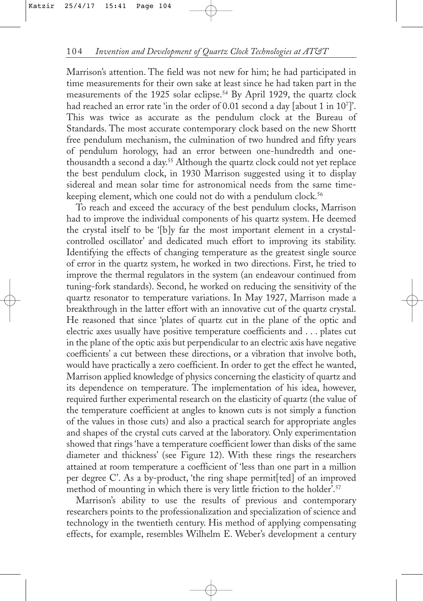Marrison's attention. The field was not new for him; he had participated in time measurements for their own sake at least since he had taken part in the measurements of the 1925 solar eclipse.54 By April 1929, the quartz clock had reached an error rate 'in the order of 0.01 second a day [about 1 in 10<sup>7</sup>]'. This was twice as accurate as the pendulum clock at the Bureau of Standards. The most accurate contemporary clock based on the new Shortt free pendulum mechanism, the culmination of two hundred and fifty years of pendulum horology, had an error between one-hundredth and onethousandth a second a day.55 Although the quartz clock could not yet replace the best pendulum clock, in 1930 Marrison suggested using it to display sidereal and mean solar time for astronomical needs from the same timekeeping element, which one could not do with a pendulum clock.<sup>56</sup>

To reach and exceed the accuracy of the best pendulum clocks, Marrison had to improve the individual components of his quartz system. He deemed the crystal itself to be '[b]y far the most important element in a crystalcontrolled oscillator' and dedicated much effort to improving its stability. Identifying the effects of changing temperature as the greatest single source of error in the quartz system, he worked in two directions. First, he tried to improve the thermal regulators in the system (an endeavour continued from tuning-fork standards). Second, he worked on reducing the sensitivity of the quartz resonator to temperature variations. In May 1927, Marrison made a breakthrough in the latter effort with an innovative cut of the quartz crystal. He reasoned that since 'plates of quartz cut in the plane of the optic and electric axes usually have positive temperature coefficients and . . . plates cut in the plane of the optic axis but perpendicular to an electric axis have negative coefficients' a cut between these directions, or a vibration that involve both, would have practically a zero coefficient. In order to get the effect he wanted, Marrison applied knowledge of physics concerning the elasticity of quartz and its dependence on temperature. The implementation of his idea, however, required further experimental research on the elasticity of quartz (the value of the temperature coefficient at angles to known cuts is not simply a function of the values in those cuts) and also a practical search for appropriate angles and shapes of the crystal cuts carved at the laboratory. Only experimentation showed that rings 'have a temperature coefficient lower than disks of the same diameter and thickness' (see Figure 12). With these rings the researchers attained at room temperature a coefficient of 'less than one part in a million per degree C'. As a by-product, 'the ring shape permit[ted] of an improved method of mounting in which there is very little friction to the holder'.<sup>57</sup>

Marrison's ability to use the results of previous and contemporary researchers points to the professionalization and specialization of science and technology in the twentieth century. His method of applying compensating effects, for example, resembles Wilhelm E. Weber's development a century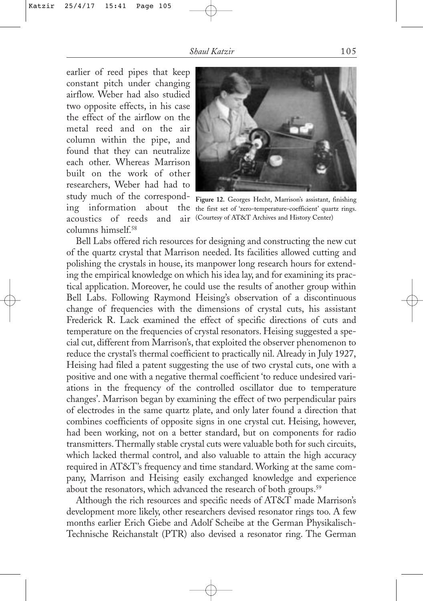earlier of reed pipes that keep constant pitch under changing airflow. Weber had also studied two opposite effects, in his case the effect of the airflow on the metal reed and on the air column within the pipe, and found that they can neutralize each other. Whereas Marrison built on the work of other researchers, Weber had had to study much of the correspondacoustics of reeds and air (Courtesy of AT&T Archives and History Center) columns himself<sup>58</sup>



ing information about the the first set of 'zero-temperature-coefficient' quartz rings. **Figure 12.** Georges Hecht, Marrison's assistant, finishing

Bell Labs offered rich resources for designing and constructing the new cut of the quartz crystal that Marrison needed. Its facilities allowed cutting and polishing the crystals in house, its manpower long research hours for extending the empirical knowledge on which his idea lay, and for examining its practical application. Moreover, he could use the results of another group within Bell Labs. Following Raymond Heising's observation of a discontinuous change of frequencies with the dimensions of crystal cuts, his assistant Frederick R. Lack examined the effect of specific directions of cuts and temperature on the frequencies of crystal resonators. Heising suggested a special cut, different from Marrison's, that exploited the observer phenomenon to reduce the crystal's thermal coefficient to practically nil. Already in July 1927, Heising had filed a patent suggesting the use of two crystal cuts, one with a positive and one with a negative thermal coefficient 'to reduce undesired variations in the frequency of the controlled oscillator due to temperature changes'. Marrison began by examining the effect of two perpendicular pairs of electrodes in the same quartz plate, and only later found a direction that combines coefficients of opposite signs in one crystal cut. Heising, however, had been working, not on a better standard, but on components for radio transmitters. Thermally stable crystal cuts were valuable both for such circuits, which lacked thermal control, and also valuable to attain the high accuracy required in AT&T's frequency and time standard. Working at the same company, Marrison and Heising easily exchanged knowledge and experience about the resonators, which advanced the research of both groups.<sup>59</sup>

Although the rich resources and specific needs of AT&T made Marrison's development more likely, other researchers devised resonator rings too. A few months earlier Erich Giebe and Adolf Scheibe at the German Physikalisch-Technische Reichanstalt (PTR) also devised a resonator ring. The German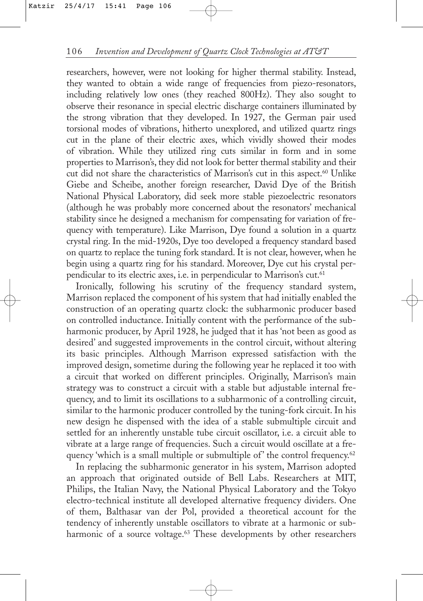researchers, however, were not looking for higher thermal stability. Instead, they wanted to obtain a wide range of frequencies from piezo-resonators, including relatively low ones (they reached 800Hz). They also sought to observe their resonance in special electric discharge containers illuminated by the strong vibration that they developed. In 1927, the German pair used torsional modes of vibrations, hitherto unexplored, and utilized quartz rings cut in the plane of their electric axes, which vividly showed their modes of vibration. While they utilized ring cuts similar in form and in some properties to Marrison's, they did not look for better thermal stability and their cut did not share the characteristics of Marrison's cut in this aspect.<sup>60</sup> Unlike Giebe and Scheibe, another foreign researcher, David Dye of the British National Physical Laboratory, did seek more stable piezoelectric resonators (although he was probably more concerned about the resonators' mechanical stability since he designed a mechanism for compensating for variation of frequency with temperature). Like Marrison, Dye found a solution in a quartz crystal ring. In the mid-1920s, Dye too developed a frequency standard based on quartz to replace the tuning fork standard. It is not clear, however, when he begin using a quartz ring for his standard. Moreover, Dye cut his crystal perpendicular to its electric axes, i.e. in perpendicular to Marrison's cut.<sup>61</sup>

Ironically, following his scrutiny of the frequency standard system, Marrison replaced the component of his system that had initially enabled the construction of an operating quartz clock: the subharmonic producer based on controlled inductance. Initially content with the performance of the subharmonic producer, by April 1928, he judged that it has 'not been as good as desired' and suggested improvements in the control circuit, without altering its basic principles. Although Marrison expressed satisfaction with the improved design, sometime during the following year he replaced it too with a circuit that worked on different principles. Originally, Marrison's main strategy was to construct a circuit with a stable but adjustable internal frequency, and to limit its oscillations to a subharmonic of a controlling circuit, similar to the harmonic producer controlled by the tuning-fork circuit. In his new design he dispensed with the idea of a stable submultiple circuit and settled for an inherently unstable tube circuit oscillator, i.e. a circuit able to vibrate at a large range of frequencies. Such a circuit would oscillate at a frequency 'which is a small multiple or submultiple of' the control frequency.<sup>62</sup>

In replacing the subharmonic generator in his system, Marrison adopted an approach that originated outside of Bell Labs. Researchers at MIT, Philips, the Italian Navy, the National Physical Laboratory and the Tokyo electro-technical institute all developed alternative frequency dividers. One of them, Balthasar van der Pol, provided a theoretical account for the tendency of inherently unstable oscillators to vibrate at a harmonic or subharmonic of a source voltage.<sup>63</sup> These developments by other researchers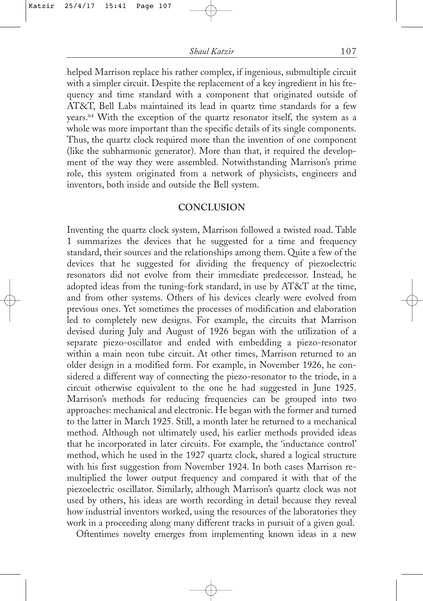helped Marrison replace his rather complex, if ingenious, submultiple circuit with a simpler circuit. Despite the replacement of a key ingredient in his frequency and time standard with a component that originated outside of AT&T, Bell Labs maintained its lead in quartz time standards for a few years.64 With the exception of the quartz resonator itself, the system as a whole was more important than the specific details of its single components. Thus, the quartz clock required more than the invention of one component (like the subharmonic generator). More than that, it required the development of the way they were assembled. Notwithstanding Marrison's prime role, this system originated from a network of physicists, engineers and inventors, both inside and outside the Bell system.

### **CONCLUSION**

Inventing the quartz clock system, Marrison followed a twisted road. Table 1 summarizes the devices that he suggested for a time and frequency standard, their sources and the relationships among them. Quite a few of the devices that he suggested for dividing the frequency of piezoelectric resonators did not evolve from their immediate predecessor. Instead, he adopted ideas from the tuning-fork standard, in use by AT&T at the time, and from other systems. Others of his devices clearly were evolved from previous ones. Yet sometimes the processes of modification and elaboration led to completely new designs. For example, the circuits that Marrison devised during July and August of 1926 began with the utilization of a separate piezo-oscillator and ended with embedding a piezo-resonator within a main neon tube circuit. At other times, Marrison returned to an older design in a modified form. For example, in November 1926, he considered a different way of connecting the piezo-resonator to the triode, in a circuit otherwise equivalent to the one he had suggested in June 1925. Marrison's methods for reducing frequencies can be grouped into two approaches: mechanical and electronic. He began with the former and turned to the latter in March 1925. Still, a month later he returned to a mechanical method. Although not ultimately used, his earlier methods provided ideas that he incorporated in later circuits. For example, the 'inductance control' method, which he used in the 1927 quartz clock, shared a logical structure with his first suggestion from November 1924. In both cases Marrison remultiplied the lower output frequency and compared it with that of the piezoelectric oscillator. Similarly, although Marrison's quartz clock was not used by others, his ideas are worth recording in detail because they reveal how industrial inventors worked, using the resources of the laboratories they work in a proceeding along many different tracks in pursuit of a given goal.

Oftentimes novelty emerges from implementing known ideas in a new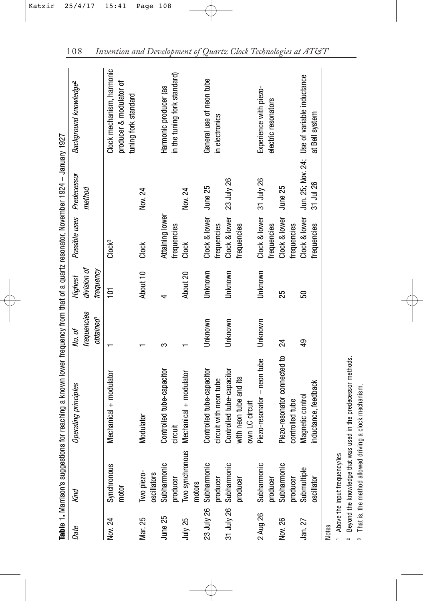|              | Table 1. Marrison's sugg                      | jestions for reaching a known lower frequency from that of a quartz resonator, November 1924 – January 1927 |             |                |                                |             |                                                                |
|--------------|-----------------------------------------------|-------------------------------------------------------------------------------------------------------------|-------------|----------------|--------------------------------|-------------|----------------------------------------------------------------|
| Date         | Kind                                          | Operating principles                                                                                        | No. of      | Highest        | Possible uses                  | Predecessor | Background knowledge <sup>2</sup>                              |
|              |                                               |                                                                                                             | frequencies | division of    |                                | method      |                                                                |
|              |                                               |                                                                                                             | obtained    | trequency      |                                |             |                                                                |
| Nov. 24      | Synchronou                                    | Mechanical + modulator                                                                                      |             | $\overline{5}$ | Clock <sup>3</sup>             |             | Clock mechanism, harmonic                                      |
|              | motor                                         |                                                                                                             |             |                |                                |             | producer & modulator of<br>tuning fork standard                |
| Mar. 25      | Two piezo-<br>oscillators                     | Modulator                                                                                                   |             | About 10       | Clock                          | Nov. 24     |                                                                |
| June 25      | $\circ$<br>Subharmoni<br>producer             | Controlled tube-capacitor<br>circuit                                                                        | ∽           | 4              | Attaining lower<br>frequencies |             | in the tuning fork standard)<br>Harmonic producer (as          |
| July 25      | Two synchronous<br>motors                     | Mechanical + modulator                                                                                      |             | About 20       | Clock                          | Nov. 24     |                                                                |
| 23 July 26   | Subharmonic<br>producer                       | Controlled tube-capacitor<br>circuit with neon tube                                                         | Unknown     | Unknown        | Clock & lower<br>frequencies   | June 25     | General use of neon tube<br>in electronics                     |
|              | <u>ت</u><br>31 July 26 Subharmoni<br>producer | Controlled tube-capacitor<br>with neon tube and its<br>own LC circuit                                       | Unknown     | Unknown        | Clock & lower<br>frequencies   | 23 July 26  |                                                                |
| 2 Aug 26     | <u>ت</u><br>Subharmoni<br>producer            | Piezo-resonator - neon tube                                                                                 | Unknown     | Unknown        | Clock & lower<br>frequencies   | 31 July 26  | Experience with piezo-<br>electric resonators                  |
| Nov. 26      | <u>ت</u><br>Subharmoni<br>producer            | Piezo-resonator connected to<br>controlled tube                                                             | 24          | 25             | Clock & lower<br>frequencies   | June 25     |                                                                |
| Jan. 27      | Submultiple<br>oscillator                     | inductance, feedback<br>Magnetic control                                                                    | \$          | 50             | Clock & lower<br>frequencies   | 31 Jul 26   | Jun. 25; Nov. 24; Use of variable inductance<br>at Bell system |
| <b>Notes</b> |                                               |                                                                                                             |             |                |                                |             |                                                                |

1 Above the input frequency/ies Above the input frequency/ies

2

Beyond the knowledge that was used in the predecessor methods. Beyond the knowledge that was used in the predecessor methods.

<sup>3</sup> That is, the method allowed driving a clock mechanism. That is, the method allowed driving a clock mechanism.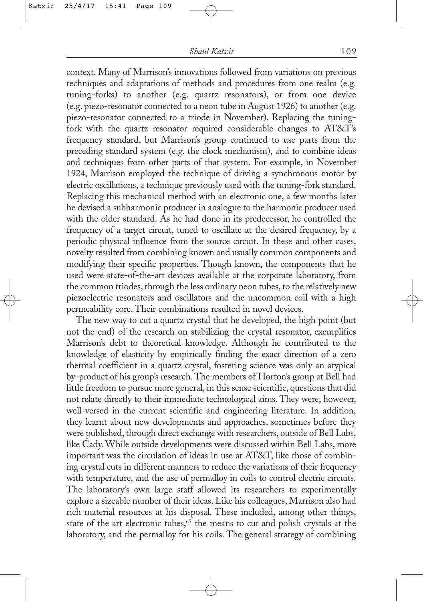context. Many of Marrison's innovations followed from variations on previous techniques and adaptations of methods and procedures from one realm (e.g. tuning-forks) to another (e.g. quartz resonators), or from one device (e.g. piezo-resonator connected to a neon tube in August 1926) to another (e.g. piezo-resonator connected to a triode in November). Replacing the tuningfork with the quartz resonator required considerable changes to AT&T's frequency standard, but Marrison's group continued to use parts from the preceding standard system (e.g. the clock mechanism), and to combine ideas and techniques from other parts of that system. For example, in November 1924, Marrison employed the technique of driving a synchronous motor by electric oscillations, a technique previously used with the tuning-fork standard. Replacing this mechanical method with an electronic one, a few months later he devised a subharmonic producer in analogue to the harmonic producer used with the older standard. As he had done in its predecessor, he controlled the frequency of a target circuit, tuned to oscillate at the desired frequency, by a periodic physical influence from the source circuit. In these and other cases, novelty resulted from combining known and usually common components and modifying their specific properties. Though known, the components that he used were state-of-the-art devices available at the corporate laboratory, from the common triodes, through the less ordinary neon tubes, to the relatively new piezoelectric resonators and oscillators and the uncommon coil with a high permeability core. Their combinations resulted in novel devices.

The new way to cut a quartz crystal that he developed, the high point (but not the end) of the research on stabilizing the crystal resonator, exemplifies Marrison's debt to theoretical knowledge. Although he contributed to the knowledge of elasticity by empirically finding the exact direction of a zero thermal coefficient in a quartz crystal, fostering science was only an atypical by-product of his group's research. The members of Horton's group at Bell had little freedom to pursue more general, in this sense scientific, questions that did not relate directly to their immediate technological aims. They were, however, well-versed in the current scientific and engineering literature. In addition, they learnt about new developments and approaches, sometimes before they were published, through direct exchange with researchers, outside of Bell Labs, like Cady. While outside developments were discussed within Bell Labs, more important was the circulation of ideas in use at AT&T, like those of combining crystal cuts in different manners to reduce the variations of their frequency with temperature, and the use of permalloy in coils to control electric circuits. The laboratory's own large staff allowed its researchers to experimentally explore a sizeable number of their ideas. Like his colleagues, Marrison also had rich material resources at his disposal. These included, among other things, state of the art electronic tubes,<sup>65</sup> the means to cut and polish crystals at the laboratory, and the permalloy for his coils. The general strategy of combining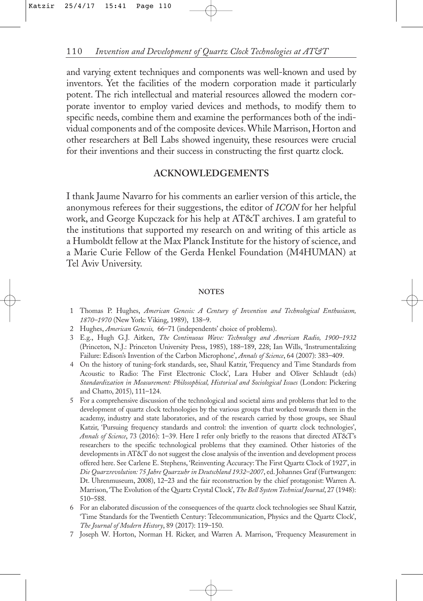and varying extent techniques and components was well-known and used by inventors. Yet the facilities of the modern corporation made it particularly potent. The rich intellectual and material resources allowed the modern corporate inventor to employ varied devices and methods, to modify them to specific needs, combine them and examine the performances both of the individual components and of the composite devices. While Marrison, Horton and other researchers at Bell Labs showed ingenuity, these resources were crucial for their inventions and their success in constructing the first quartz clock.

### **ACKNOWLEDGEMENTS**

I thank Jaume Navarro for his comments an earlier version of this article, the anonymous referees for their suggestions, the editor of *ICON* for her helpful work, and George Kupczack for his help at AT&T archives. I am grateful to the institutions that supported my research on and writing of this article as a Humboldt fellow at the Max Planck Institute for the history of science, and a Marie Curie Fellow of the Gerda Henkel Foundation (M4HUMAN) at Tel Aviv University.

#### **NOTES**

- 1 Thomas P. Hughes, *American Genesis: A Century of Invention and Technological Enthusiasm, 1870–1970* (New York: Viking, 1989), 138–9.
- 2 Hughes, *American Genesis,* 66–71 (independents' choice of problems).
- 3 E.g., Hugh G.J. Aitken, *The Continuous Wave: Technology and American Radio, 1900–1932* (Princeton, N.J.: Princeton University Press, 1985), 188–189, 228; Ian Wills, 'Instrumentalizing Failure: Edison's Invention of the Carbon Microphone', *Annals of Science*, 64 (2007): 383–409.
- 4 On the history of tuning-fork standards, see, Shaul Katzir, 'Frequency and Time Standards from Acoustic to Radio: The First Electronic Clock', Lara Huber and Oliver Schlaudt (eds) *Standardization in Measurement: Philosophical, Historical and Sociological Issues* (London: Pickering and Chatto, 2015), 111–124.
- 5 For a comprehensive discussion of the technological and societal aims and problems that led to the development of quartz clock technologies by the various groups that worked towards them in the academy, industry and state laboratories, and of the research carried by those groups, see Shaul Katzir, 'Pursuing frequency standards and control: the invention of quartz clock technologies', *Annals of Science*, 73 (2016): 1–39. Here I refer only briefly to the reasons that directed AT&T's researchers to the specific technological problems that they examined. Other histories of the developments in AT&T do not suggest the close analysis of the invention and development process offered here. See Carlene E. Stephens, 'Reinventing Accuracy: The First Quartz Clock of 1927', in *Die Quarzrevolution: 75 Jahre Quarzuhr in Deutschland 1932–2007*, ed. Johannes Graf (Furtwangen: Dt. Uhrenmuseum, 2008), 12–23 and the fair reconstruction by the chief protagonist: Warren A. Marrison, 'The Evolution of the Quartz Crystal Clock', *The Bell System Technical Journal*, 27 (1948): 510–588.
- 6 For an elaborated discussion of the consequences of the quartz clock technologies see Shaul Katzir, 'Time Standards for the Twentieth Century: Telecommunication, Physics and the Quartz Clock', *The Journal of Modern History*, 89 (2017): 119–150.
- 7 Joseph W. Horton, Norman H. Ricker, and Warren A. Marrison, 'Frequency Measurement in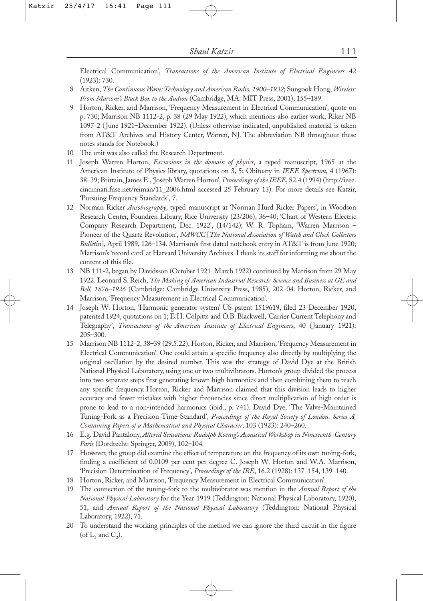Electrical Communication', *Transactions of the American Institute of Electrical Engineers* 42 (1923): 730.

- 8 Aitken, *The Continuous Wave: Technology and American Radio, 1900–1932*; Sungook Hong, *Wireless: From Marconi's Black Box to the Audion* (Cambridge, MA: MIT Press, 2001), 155–189.
- 9 Horton, Ricker, and Marrison, 'Frequency Measurement in Electrical Communication', quote on p. 730; Marrison NB 1112-2, p. 38 (29 May 1922), which mentions also earlier work, Riker NB 1097-2 (June 1921–December 1922). (Unless otherwise indicated, unpublished material is taken from AT&T Archives and History Center, Warren, NJ. The abbreviation NB throughout these notes stands for Notebook.)
- 10 The unit was also called the Research Department.
- 11 Joseph Warren Horton, *Excursions in the domain of physics*, a typed manuscript, 1965 at the American Institute of Physics library, quotations on 3, 5; Obituary in *IEEE Spectrum*, 4 (1967): 38–39; Brittain, James E., 'Joseph Warren Horton', *Proceedings of the IEEE*, 82.4 (1994) (http://ieee. cincinnati.fuse.net/reiman/11\_2006.html accessed 25 February 13). For more details see Katzir, 'Pursuing Frequency Standards', 7.
- 12 Norman Ricker *Autobiography*, typed manuscript at 'Norman Hurd Ricker Papers', in Woodson Research Center, Foundren Library, Rice University (23/206), 36–40; 'Chart of Western Electric Company Research Department, Dec. 1922', (14/142); W. R. Topham, 'Warren Marrison – Pioneer of the Quartz Revolution', *NAWCC* [*The National Association of Watch and Clock Collectors Bulletin*], April 1989, 126–134. Marrison's first dated notebook entry in AT&T is from June 1920; Marrison's 'record card' at Harvard University Archives. I thank its staff for informing me about the content of this file.
- 13 NB 111-2, began by Davidsson (October 1921–March 1922) continued by Marrison from 29 May 1922. Leonard S. Reich, *The Making of American Industrial Research: Science and Business at GE and Bell, 1876–1926* (Cambridge: Cambridge University Press, 1985), 202–04. Horton, Ricker, and Marrison, 'Frequency Measurement in Electrical Communication'.
- 14 Joseph W. Horton, 'Harmonic generator system' US patent 1519619, filed 23 December 1920, patented 1924, quotations on 1; E.H. Colpitts and O.B. Blackwell, 'Carrier Current Telephony and Telegraphy', *Transactions of the American Institute of Electrical Engineers*, 40 (January 1921): 205–300.
- 15 Marrison NB 1112-2, 38–39 (29.5.22), Horton, Ricker, and Marrison, 'Frequency Measurement in Electrical Communication'. One could attain a specific frequency also directly by multiplying the original oscillation by the desired number. This was the strategy of David Dye at the British National Physical Laboratory, using one or two multivibrators. Horton's group divided the process into two separate steps first generating known high harmonics and then combining them to reach any specific frequency. Horton, Ricker and Marrison claimed that this division leads to higher accuracy and fewer mistakes with higher frequencies since direct multiplication of high order is prone to lead to a non-intended harmonics (ibid., p. 741). David Dye, 'The Valve-Maintained Tuning-Fork as a Precision Time-Standard', *Proceedings of the Royal Society of London. Series A, Containing Papers of a Mathematical and Physical Character*, 103 (1923): 240–260.
- 16 E.g. David Pantalony, *Altered Sensations: Rudolph Koenig's Acoustical Workshop in Nineteenth-Century Paris* (Dordrecht: Springer, 2009), 102–104.
- 17 However, the group did examine the effect of temperature on the frequency of its own tuning-fork, finding a coefficient of 0.0109 per cent per degree C. Joseph W. Horton and W.A. Marrison, 'Precision Determination of Frequency', *Proceedings of the IRE*, 16.2 (1928): 137–154, 139–140.
- 18 Horton, Ricker, and Marrison, 'Frequency Measurement in Electrical Communication'.
- 19 The connection of the tuning-fork to the multivibrator was mention in the *Annual Report of the National Physical Laboratory* for the Year 1919 (Teddington: National Physical Laboratory, 1920), 51, and *Annual Report of the National Physical Laboratory* (Teddington: National Physical Laboratory, 1922), 71.
- 20 To understand the working principles of the method we can ignore the third circuit in the figure (of  $L_2$  and  $C_2$ ).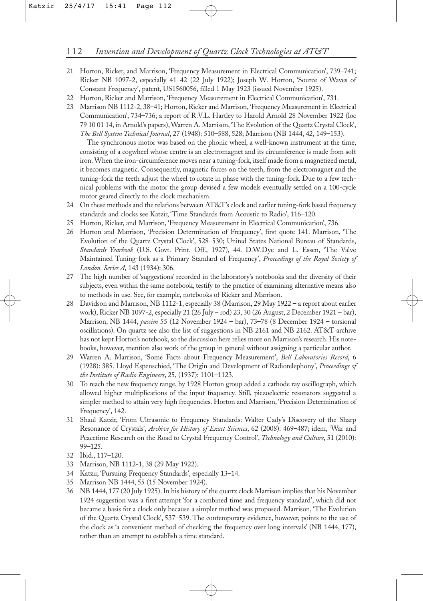- 21 Horton, Ricker, and Marrison, 'Frequency Measurement in Electrical Communication', 739–741; Ricker NB 1097-2, especially 41–42 (22 July 1922); Joseph W. Horton, 'Source of Waves of Constant Frequency', patent, US1560056, filled 1 May 1923 (issued November 1925).
- 22 Horton, Ricker and Marrison, 'Frequency Measurement in Electrical Communication', 731.
- 23 Marrison NB 1112-2, 38–41; Horton, Ricker and Marrison, 'Frequency Measurement in Electrical Communication', 734–736; a report of R.V.L. Hartley to Harold Arnold 28 November 1922 (loc 79 10 01 14, in Arnold's papers), Warren A. Marrison, 'The Evolution of the Quartz Crystal Clock', *The Bell System Technical Journal*, 27 (1948): 510–588, 528; Marrison (NB 1444, 42, 149–153).

The synchronous motor was based on the phonic wheel, a well-known instrument at the time, consisting of a cogwheel whose centre is an electromagnet and its circumference is made from soft iron. When the iron-circumference moves near a tuning-fork, itself made from a magnetized metal, it becomes magnetic. Consequently, magnetic forces on the teeth, from the electromagnet and the tuning-fork the teeth adjust the wheel to rotate in phase with the tuning-fork. Due to a few technical problems with the motor the group devised a few models eventually settled on a 100-cycle motor geared directly to the clock mechanism.

- 24 On these methods and the relations between AT&T's clock and earlier tuning-fork based frequency standards and clocks see Katzir, 'Time Standards from Acoustic to Radio', 116–120.
- 25 Horton, Ricker, and Marrison, 'Frequency Measurement in Electrical Communication', 736.
- 26 Horton and Marrison, 'Precision Determination of Frequency', first quote 141. Marrison, 'The Evolution of the Quartz Crystal Clock', 528–530; United States National Bureau of Standards, *Standards Yearbook* (U.S. Govt. Print. Off., 1927), 44. D.W.Dye and L. Essen, 'The Valve Maintained Tuning-fork as a Primary Standard of Frequency', *Proceedings of the Royal Society of London. Series A*, 143 (1934): 306.
- 27 The high number of 'suggestions' recorded in the laboratory's notebooks and the diversity of their subjects, even within the same notebook, testify to the practice of examining alternative means also to methods in use. See, for example, notebooks of Ricker and Marrison.
- 28 Davidson and Marrison, NB 1112-1, especially 38 (Marrison, 29 May 1922 a report about earlier work), Ricker NB 1097-2, especially 21 (26 July – rod) 23, 30 (26 August, 2 December 1921 – bar), Marrison, NB 1444, *passim* 55 (12 November 1924 – bar), 73–78 (8 December 1924 – torsional oscillations). On quartz see also the list of suggestions in NB 2161 and NB 2162. AT&T archive has not kept Horton's notebook, so the discussion here relies more on Marrison's research. His notebooks, however, mention also work of the group in general without assigning a particular author.
- 29 Warren A. Marrison, 'Some Facts about Frequency Measurement', *Bell Laboratories Record*, 6 (1928): 385. Lloyd Espenschied, 'The Origin and Development of Radiotelephony', *Proceedings of the Institute of Radio Engineers*, 25, (1937): 1101–1123.
- 30 To reach the new frequency range, by 1928 Horton group added a cathode ray oscillograph, which allowed higher multiplications of the input frequency. Still, piezoelectric resonators suggested a simpler method to attain very high frequencies. Horton and Marrison, 'Precision Determination of Frequency', 142.
- 31 Shaul Katzir, 'From Ultrasonic to Frequency Standards: Walter Cady's Discovery of the Sharp Resonance of Crystals', *Archive for History of Exact Sciences*, 62 (2008): 469–487; idem, 'War and Peacetime Research on the Road to Crystal Frequency Control', *Technology and Culture*, 51 (2010): 99–125.
- 32 Ibid., 117–120.
- 33 Marrison, NB 1112-1, 38 (29 May 1922).
- 34 Katzir, 'Pursuing Frequency Standards', especially 13–14.
- 35 Marrison NB 1444, 55 (15 November 1924).
- 36 NB 1444, 177 (20 July 1925). In his history of the quartz clock Marrison implies that his November 1924 suggestion was a first attempt 'for a combined time and frequency standard', which did not became a basis for a clock only because a simpler method was proposed. Marrison, 'The Evolution of the Quartz Crystal Clock', 537–539. The contemporary evidence, however, points to the use of the clock as 'a convenient method of checking the frequency over long intervals' (NB 1444, 177), rather than an attempt to establish a time standard.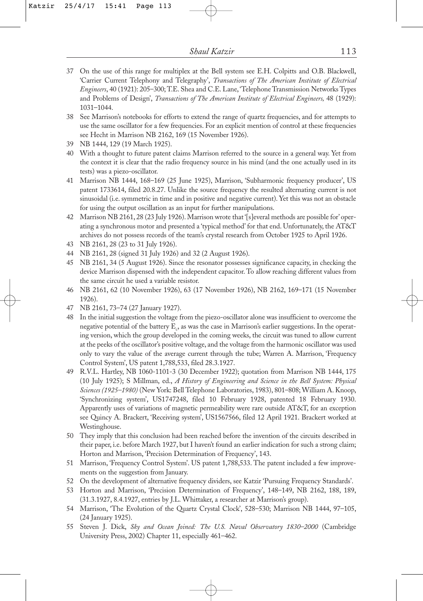- 37 On the use of this range for multiplex at the Bell system see E.H. Colpitts and O.B. Blackwell, 'Carrier Current Telephony and Telegraphy', *Transactions of The American Institute of Electrical Engineers*, 40 (1921): 205–300; T.E. Shea and C.E. Lane, 'Telephone Transmission Networks Types and Problems of Design', *Transactions of The American Institute of Electrical Engineers,* 48 (1929): 1031–1044.
- 38 See Marrison's notebooks for efforts to extend the range of quartz frequencies, and for attempts to use the same oscillator for a few frequencies. For an explicit mention of control at these frequencies see Hecht in Marrison NB 2162, 169 (15 November 1926).
- 39 NB 1444, 129 (19 March 1925).
- 40 With a thought to future patent claims Marrison referred to the source in a general way. Yet from the context it is clear that the radio frequency source in his mind (and the one actually used in its tests) was a piezo-oscillator.
- 41 Marrison NB 1444, 168–169 (25 June 1925), Marrison, 'Subharmonic frequency producer', US patent 1733614, filed 20.8.27. Unlike the source frequency the resulted alternating current is not sinusoidal (i.e. symmetric in time and in positive and negative current). Yet this was not an obstacle for using the output oscillation as an input for further manipulations.
- 42 Marrison NB 2161, 28 (23 July 1926). Marrison wrote that '[s]everal methods are possible for' operating a synchronous motor and presented a 'typical method' for that end. Unfortunately, the AT&T archives do not possess records of the team's crystal research from October 1925 to April 1926.
- 43 NB 2161, 28 (23 to 31 July 1926).
- 44 NB 2161, 28 (signed 31 July 1926) and 32 (2 August 1926).
- 45 NB 2161, 34 (5 August 1926). Since the resonator possesses significance capacity, in checking the device Marrison dispensed with the independent capacitor. To allow reaching different values from the same circuit he used a variable resistor.
- 46 NB 2161, 62 (10 November 1926), 63 (17 November 1926), NB 2162, 169–171 (15 November 1926).
- 47 NB 2161, 73–74 (27 January 1927).
- 48 In the initial suggestion the voltage from the piezo-oscillator alone was insufficient to overcome the negative potential of the battery  $\mathrm{E}_{\phi}$  as was the case in Marrison's earlier suggestions. In the operating version, which the group developed in the coming weeks, the circuit was tuned to allow current at the peeks of the oscillator's positive voltage, and the voltage from the harmonic oscillator was used only to vary the value of the average current through the tube; Warren A. Marrison, 'Frequency Control System', US patent 1,788,533, filed 28.3.1927.
- 49 R.V.L. Hartley, NB 1060-1101-3 (30 December 1922); quotation from Marrison NB 1444, 175 (10 July 1925); S Millman, ed., *A History of Engineering and Science in the Bell System: Physical Sciences (1925–1980)* (New York: Bell Telephone Laboratories, 1983), 801–808; William A. Knoop, 'Synchronizing system', US1747248, filed 10 February 1928, patented 18 February 1930. Apparently uses of variations of magnetic permeability were rare outside AT&T, for an exception see Quincy A. Brackert, 'Receiving system', US1567566, filed 12 April 1921. Brackert worked at Westinghouse.
- 50 They imply that this conclusion had been reached before the invention of the circuits described in their paper, i.e. before March 1927, but I haven't found an earlier indication for such a strong claim; Horton and Marrison, 'Precision Determination of Frequency', 143.
- 51 Marrison, 'Frequency Control System'. US patent 1,788,533. The patent included a few improvements on the suggestion from January.
- 52 On the development of alternative frequency dividers, see Katzir 'Pursuing Frequency Standards'.
- 53 Horton and Marrison, 'Precision Determination of Frequency', 148–149, NB 2162, 188, 189, (31.3.1927, 8.4.1927, entries by J.L. Whittaker, a researcher at Marrison's group).
- 54 Marrison, 'The Evolution of the Quartz Crystal Clock', 528–530; Marrison NB 1444, 97–105, (24 January 1925).
- 55 Steven J. Dick, *Sky and Ocean Joined: The U.S. Naval Observatory 1830–2000* (Cambridge University Press, 2002) Chapter 11, especially 461–462.